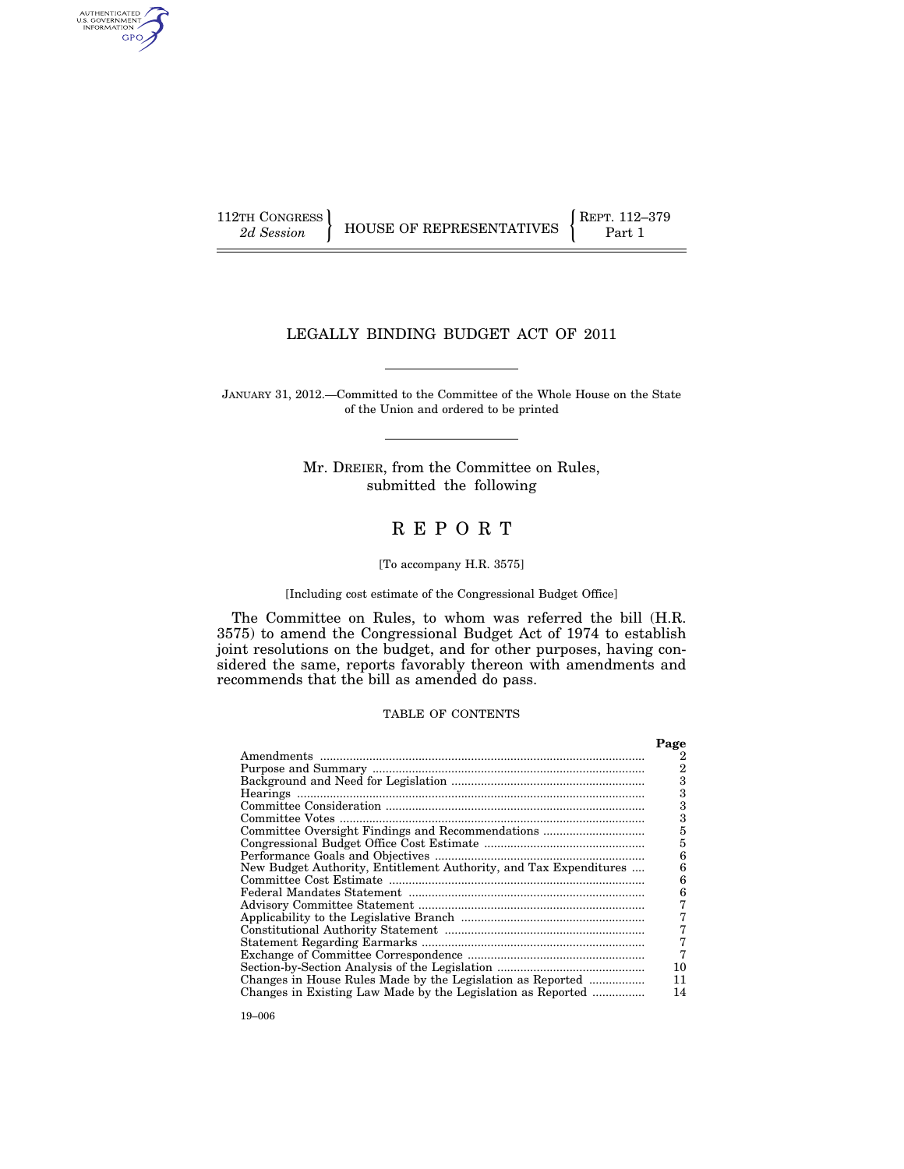AUTHENTICATED<br>U.S. GOVERNMENT<br>INFORMATION GPO

112TH CONGRESS **REPRESENTATIVES** REPRESENTATIVES **Part 1** 

## LEGALLY BINDING BUDGET ACT OF 2011

JANUARY 31, 2012.—Committed to the Committee of the Whole House on the State of the Union and ordered to be printed

> Mr. DREIER, from the Committee on Rules, submitted the following

# R E P O R T

#### [To accompany H.R. 3575]

### [Including cost estimate of the Congressional Budget Office]

The Committee on Rules, to whom was referred the bill (H.R. 3575) to amend the Congressional Budget Act of 1974 to establish joint resolutions on the budget, and for other purposes, having considered the same, reports favorably thereon with amendments and recommends that the bill as amended do pass.

## TABLE OF CONTENTS

|                                                                   | Page |
|-------------------------------------------------------------------|------|
|                                                                   | 2    |
|                                                                   |      |
|                                                                   | 3    |
|                                                                   | 3    |
|                                                                   | 3    |
|                                                                   | з    |
| Committee Oversight Findings and Recommendations                  | 5    |
|                                                                   | 5    |
|                                                                   | 6    |
| New Budget Authority, Entitlement Authority, and Tax Expenditures | հ    |
|                                                                   | 6    |
|                                                                   | 6    |
|                                                                   |      |
|                                                                   |      |
|                                                                   |      |
|                                                                   |      |
|                                                                   |      |
|                                                                   | 10   |
|                                                                   | 11   |
|                                                                   | 14   |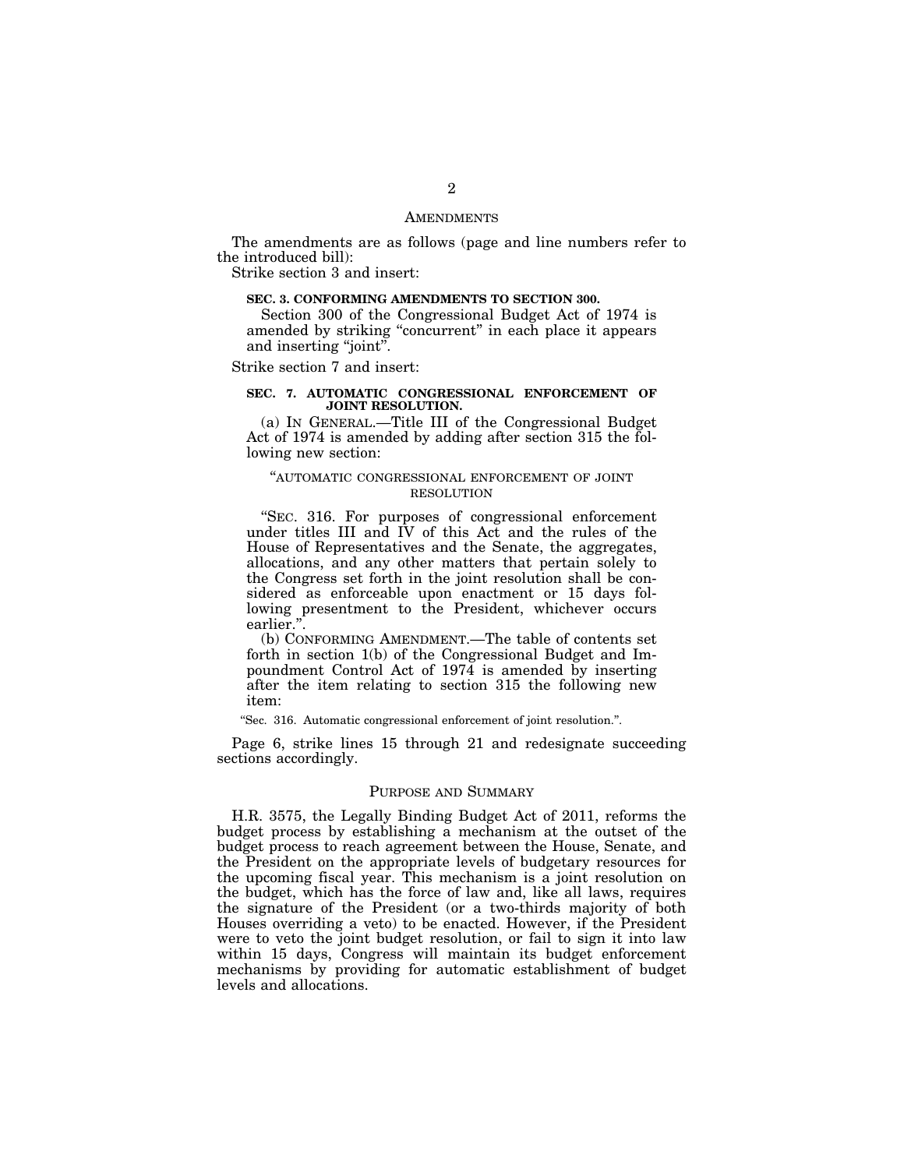### **AMENDMENTS**

The amendments are as follows (page and line numbers refer to the introduced bill):

Strike section 3 and insert:

### **SEC. 3. CONFORMING AMENDMENTS TO SECTION 300.**

Section 300 of the Congressional Budget Act of 1974 is amended by striking ''concurrent'' in each place it appears and inserting ''joint''.

Strike section 7 and insert:

### **SEC. 7. AUTOMATIC CONGRESSIONAL ENFORCEMENT OF JOINT RESOLUTION.**

(a) IN GENERAL.—Title III of the Congressional Budget Act of 1974 is amended by adding after section 315 the following new section:

## ''AUTOMATIC CONGRESSIONAL ENFORCEMENT OF JOINT **RESOLUTION**

''SEC. 316. For purposes of congressional enforcement under titles III and IV of this Act and the rules of the House of Representatives and the Senate, the aggregates, allocations, and any other matters that pertain solely to the Congress set forth in the joint resolution shall be considered as enforceable upon enactment or 15 days following presentment to the President, whichever occurs earlier.''.

(b) CONFORMING AMENDMENT.—The table of contents set forth in section 1(b) of the Congressional Budget and Impoundment Control Act of 1974 is amended by inserting after the item relating to section 315 the following new item:

''Sec. 316. Automatic congressional enforcement of joint resolution.''.

Page 6, strike lines 15 through 21 and redesignate succeeding sections accordingly.

### PURPOSE AND SUMMARY

H.R. 3575, the Legally Binding Budget Act of 2011, reforms the budget process by establishing a mechanism at the outset of the budget process to reach agreement between the House, Senate, and the President on the appropriate levels of budgetary resources for the upcoming fiscal year. This mechanism is a joint resolution on the budget, which has the force of law and, like all laws, requires the signature of the President (or a two-thirds majority of both Houses overriding a veto) to be enacted. However, if the President were to veto the joint budget resolution, or fail to sign it into law within 15 days, Congress will maintain its budget enforcement mechanisms by providing for automatic establishment of budget levels and allocations.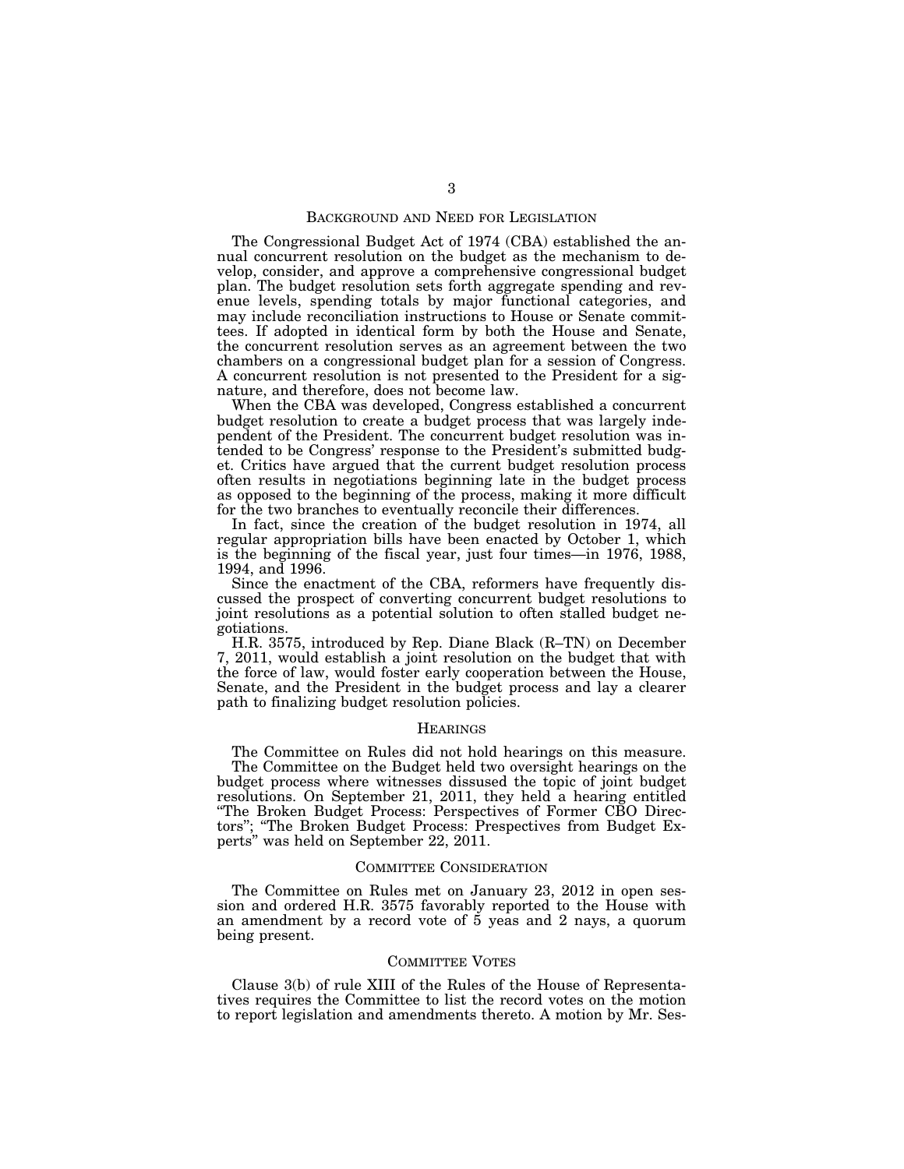### BACKGROUND AND NEED FOR LEGISLATION

The Congressional Budget Act of 1974 (CBA) established the annual concurrent resolution on the budget as the mechanism to develop, consider, and approve a comprehensive congressional budget plan. The budget resolution sets forth aggregate spending and revenue levels, spending totals by major functional categories, and may include reconciliation instructions to House or Senate committees. If adopted in identical form by both the House and Senate, the concurrent resolution serves as an agreement between the two chambers on a congressional budget plan for a session of Congress. A concurrent resolution is not presented to the President for a signature, and therefore, does not become law.

When the CBA was developed, Congress established a concurrent budget resolution to create a budget process that was largely independent of the President. The concurrent budget resolution was intended to be Congress' response to the President's submitted budget. Critics have argued that the current budget resolution process often results in negotiations beginning late in the budget process as opposed to the beginning of the process, making it more difficult for the two branches to eventually reconcile their differences.

In fact, since the creation of the budget resolution in 1974, all regular appropriation bills have been enacted by October 1, which is the beginning of the fiscal year, just four times—in 1976, 1988, 1994, and 1996.

Since the enactment of the CBA, reformers have frequently discussed the prospect of converting concurrent budget resolutions to joint resolutions as a potential solution to often stalled budget negotiations.

H.R. 3575, introduced by Rep. Diane Black (R–TN) on December 7, 2011, would establish a joint resolution on the budget that with the force of law, would foster early cooperation between the House, Senate, and the President in the budget process and lay a clearer path to finalizing budget resolution policies.

## **HEARINGS**

The Committee on Rules did not hold hearings on this measure.

The Committee on the Budget held two oversight hearings on the budget process where witnesses dissused the topic of joint budget resolutions. On September 21, 2011, they held a hearing entitled "The Broken Budget Process: Perspectives of Former CBO Directors''; ''The Broken Budget Process: Prespectives from Budget Experts'' was held on September 22, 2011.

### COMMITTEE CONSIDERATION

The Committee on Rules met on January 23, 2012 in open session and ordered H.R. 3575 favorably reported to the House with an amendment by a record vote of 5 yeas and 2 nays, a quorum being present.

### COMMITTEE VOTES

Clause 3(b) of rule XIII of the Rules of the House of Representatives requires the Committee to list the record votes on the motion to report legislation and amendments thereto. A motion by Mr. Ses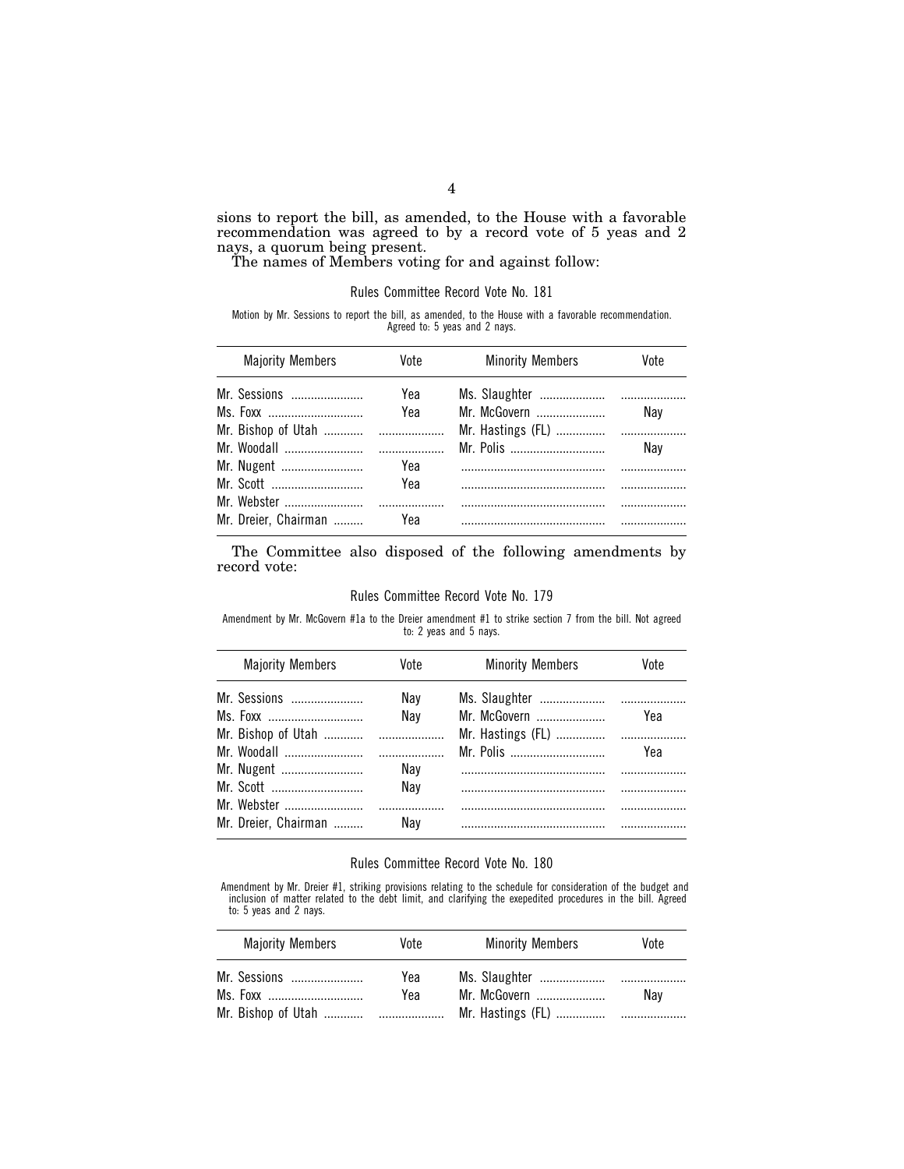sions to report the bill, as amended, to the House with a favorable recommendation was agreed to by a record vote of 5 yeas and 2 nays, a quorum being present.

The names of Members voting for and against follow:

### Rules Committee Record Vote No. 181

Motion by Mr. Sessions to report the bill, as amended, to the House with a favorable recommendation. Agreed to: 5 yeas and 2 nays.

| <b>Majority Members</b> | Vote | <b>Minority Members</b> | Vote |
|-------------------------|------|-------------------------|------|
| Mr. Sessions            | Yea  |                         |      |
|                         |      | Mr. McGovern            | Nav  |
|                         |      |                         |      |
|                         |      | Mr. Polis               | Nav  |
| Mr. Nugent              | Yea  |                         |      |
| Mr. Scott               | Yea  |                         |      |
|                         |      |                         |      |
| Mr. Dreier, Chairman    | Yea  |                         |      |

The Committee also disposed of the following amendments by record vote:

## Rules Committee Record Vote No. 179

Amendment by Mr. McGovern #1a to the Dreier amendment #1 to strike section 7 from the bill. Not agreed to: 2 yeas and 5 nays.

| <b>Majority Members</b> | Vote | <b>Minority Members</b> | Vote |
|-------------------------|------|-------------------------|------|
| Mr. Sessions            | Nay  |                         |      |
| Mr. Bishop of Utah      | Nay  | Mr. McGovern            | Yea  |
|                         |      | Mr. Polis               | Yea  |
|                         | Nav  |                         |      |
|                         | Nav  |                         |      |
| Mr. Dreier, Chairman    | Nay  |                         |      |

## Rules Committee Record Vote No. 180

Amendment by Mr. Dreier #1, striking provisions relating to the schedule for consideration of the budget and inclusion of matter related to the debt limit, and clarifying the exepedited procedures in the bill. Agreed to: 5 yeas and 2 nays.

| <b>Majority Members</b> | Vote | <b>Minority Members</b> | Vote |
|-------------------------|------|-------------------------|------|
| Mr. Sessions            | Yea  |                         |      |
| Ms. Foxx                | Yea  | Mr. McGovern            | Nav  |
| Mr. Bishop of Utah      |      |                         |      |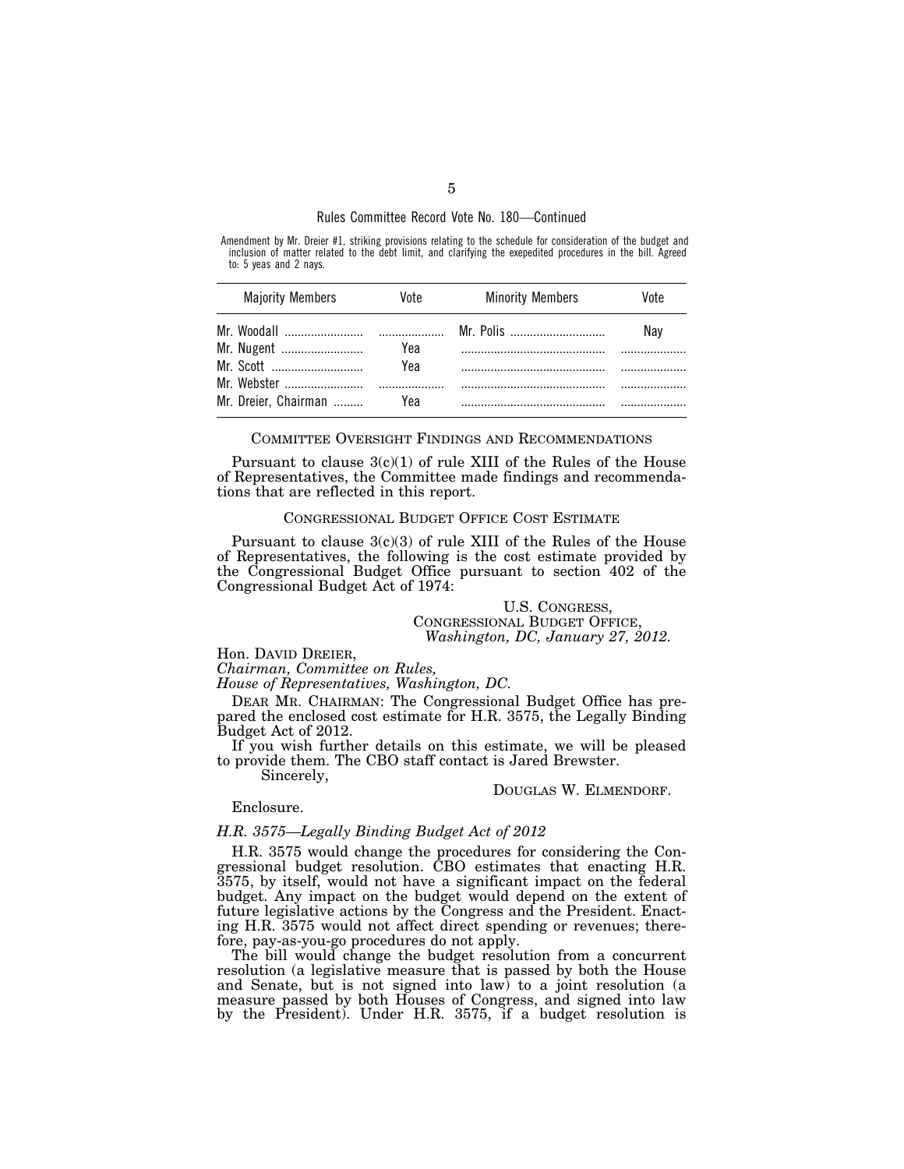### Rules Committee Record Vote No. 180—Continued

Amendment by Mr. Dreier #1, striking provisions relating to the schedule for consideration of the budget and inclusion of matter related to the debt limit, and clarifying the exepedited procedures in the bill. Agreed to: 5 yeas and 2 nays.

| <b>Majority Members</b> | Vote | <b>Minority Members</b> | Vote |
|-------------------------|------|-------------------------|------|
|                         |      | Mr. Polis               | Nav  |
| Mr. Nugent              | Yea  |                         |      |
| Mr. Scott               | Yea  |                         |      |
|                         |      |                         |      |
| Mr. Dreier, Chairman    | Yea  |                         |      |

COMMITTEE OVERSIGHT FINDINGS AND RECOMMENDATIONS

Pursuant to clause 3(c)(1) of rule XIII of the Rules of the House of Representatives, the Committee made findings and recommendations that are reflected in this report.

### CONGRESSIONAL BUDGET OFFICE COST ESTIMATE

Pursuant to clause  $3(c)(3)$  of rule XIII of the Rules of the House of Representatives, the following is the cost estimate provided by the Congressional Budget Office pursuant to section 402 of the Congressional Budget Act of 1974:

> U.S. CONGRESS, CONGRESSIONAL BUDGET OFFICE, *Washington, DC, January 27, 2012.*

Hon. DAVID DREIER,

*Chairman, Committee on Rules,* 

*House of Representatives, Washington, DC.* 

DEAR MR. CHAIRMAN: The Congressional Budget Office has prepared the enclosed cost estimate for H.R. 3575, the Legally Binding Budget Act of 2012.

If you wish further details on this estimate, we will be pleased to provide them. The CBO staff contact is Jared Brewster.

Sincerely,

### DOUGLAS W. ELMENDORF.

Enclosure.

## *H.R. 3575—Legally Binding Budget Act of 2012*

H.R. 3575 would change the procedures for considering the Congressional budget resolution. CBO estimates that enacting H.R. 3575, by itself, would not have a significant impact on the federal budget. Any impact on the budget would depend on the extent of future legislative actions by the Congress and the President. Enacting H.R. 3575 would not affect direct spending or revenues; therefore, pay-as-you-go procedures do not apply.

The bill would change the budget resolution from a concurrent resolution (a legislative measure that is passed by both the House and Senate, but is not signed into law) to a joint resolution (a measure passed by both Houses of Congress, and signed into law by the President). Under H.R. 3575, if a budget resolution is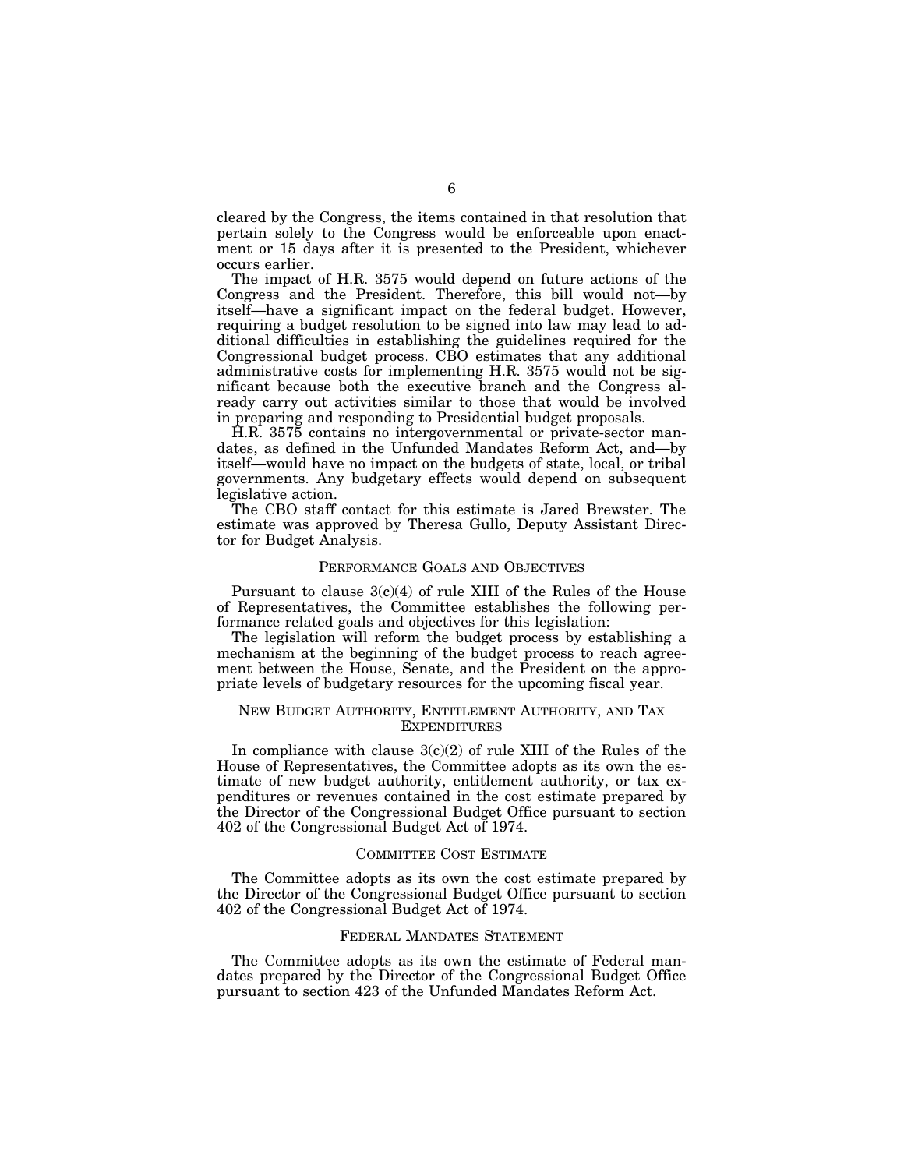cleared by the Congress, the items contained in that resolution that pertain solely to the Congress would be enforceable upon enactment or 15 days after it is presented to the President, whichever occurs earlier.

The impact of H.R. 3575 would depend on future actions of the Congress and the President. Therefore, this bill would not—by itself—have a significant impact on the federal budget. However, requiring a budget resolution to be signed into law may lead to additional difficulties in establishing the guidelines required for the Congressional budget process. CBO estimates that any additional administrative costs for implementing H.R. 3575 would not be significant because both the executive branch and the Congress already carry out activities similar to those that would be involved in preparing and responding to Presidential budget proposals.

H.R. 3575 contains no intergovernmental or private-sector mandates, as defined in the Unfunded Mandates Reform Act, and—by itself—would have no impact on the budgets of state, local, or tribal governments. Any budgetary effects would depend on subsequent legislative action.

The CBO staff contact for this estimate is Jared Brewster. The estimate was approved by Theresa Gullo, Deputy Assistant Director for Budget Analysis.

### PERFORMANCE GOALS AND OBJECTIVES

Pursuant to clause  $3(c)(4)$  of rule XIII of the Rules of the House of Representatives, the Committee establishes the following performance related goals and objectives for this legislation:

The legislation will reform the budget process by establishing a mechanism at the beginning of the budget process to reach agreement between the House, Senate, and the President on the appropriate levels of budgetary resources for the upcoming fiscal year.

## NEW BUDGET AUTHORITY, ENTITLEMENT AUTHORITY, AND TAX EXPENDITURES

In compliance with clause  $3(c)(2)$  of rule XIII of the Rules of the House of Representatives, the Committee adopts as its own the estimate of new budget authority, entitlement authority, or tax expenditures or revenues contained in the cost estimate prepared by the Director of the Congressional Budget Office pursuant to section 402 of the Congressional Budget Act of 1974.

## COMMITTEE COST ESTIMATE

The Committee adopts as its own the cost estimate prepared by the Director of the Congressional Budget Office pursuant to section 402 of the Congressional Budget Act of 1974.

### FEDERAL MANDATES STATEMENT

The Committee adopts as its own the estimate of Federal mandates prepared by the Director of the Congressional Budget Office pursuant to section 423 of the Unfunded Mandates Reform Act.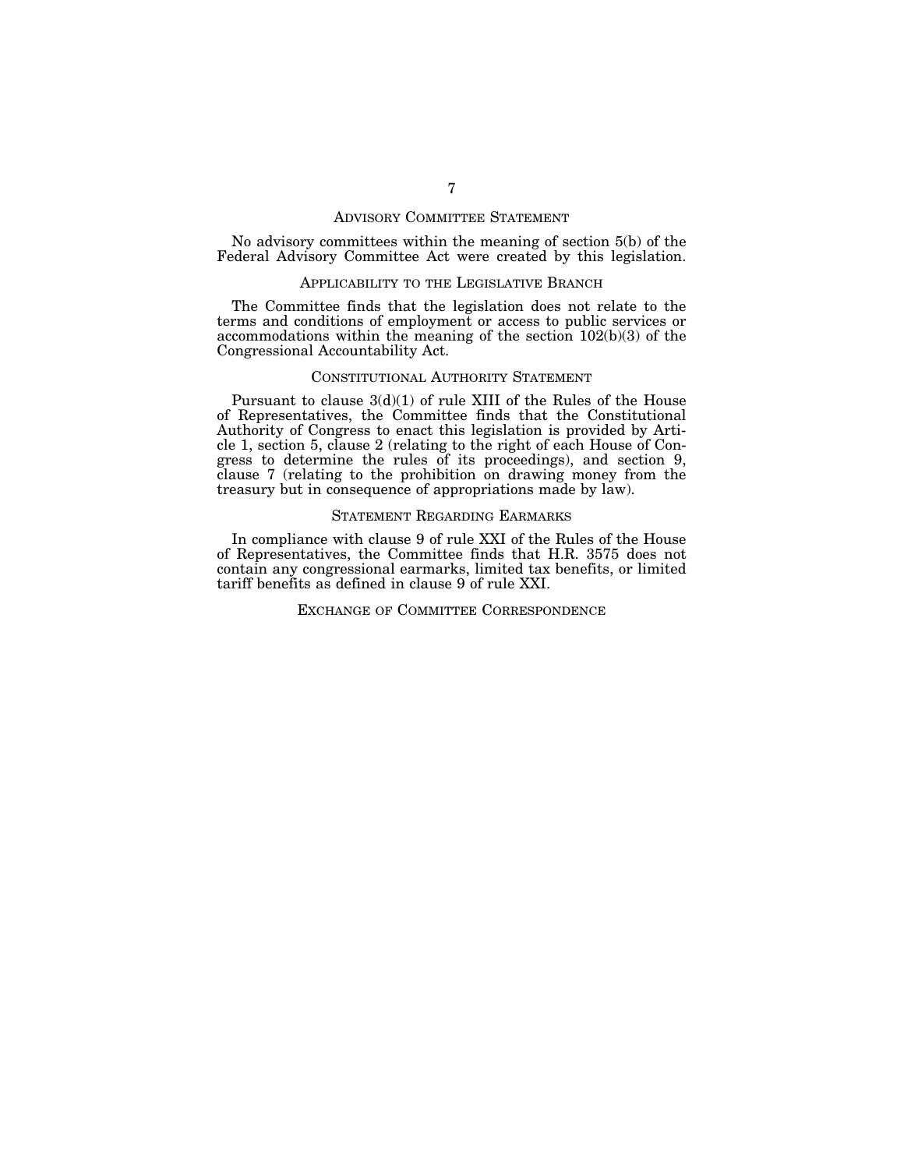### ADVISORY COMMITTEE STATEMENT

No advisory committees within the meaning of section 5(b) of the Federal Advisory Committee Act were created by this legislation.

## APPLICABILITY TO THE LEGISLATIVE BRANCH

The Committee finds that the legislation does not relate to the terms and conditions of employment or access to public services or accommodations within the meaning of the section 102(b)(3) of the Congressional Accountability Act.

### CONSTITUTIONAL AUTHORITY STATEMENT

Pursuant to clause  $3(d)(1)$  of rule XIII of the Rules of the House of Representatives, the Committee finds that the Constitutional Authority of Congress to enact this legislation is provided by Article 1, section 5, clause 2 (relating to the right of each House of Congress to determine the rules of its proceedings), and section 9, clause 7 (relating to the prohibition on drawing money from the treasury but in consequence of appropriations made by law).

### STATEMENT REGARDING EARMARKS

In compliance with clause 9 of rule XXI of the Rules of the House of Representatives, the Committee finds that H.R. 3575 does not contain any congressional earmarks, limited tax benefits, or limited tariff benefits as defined in clause 9 of rule XXI.

### EXCHANGE OF COMMITTEE CORRESPONDENCE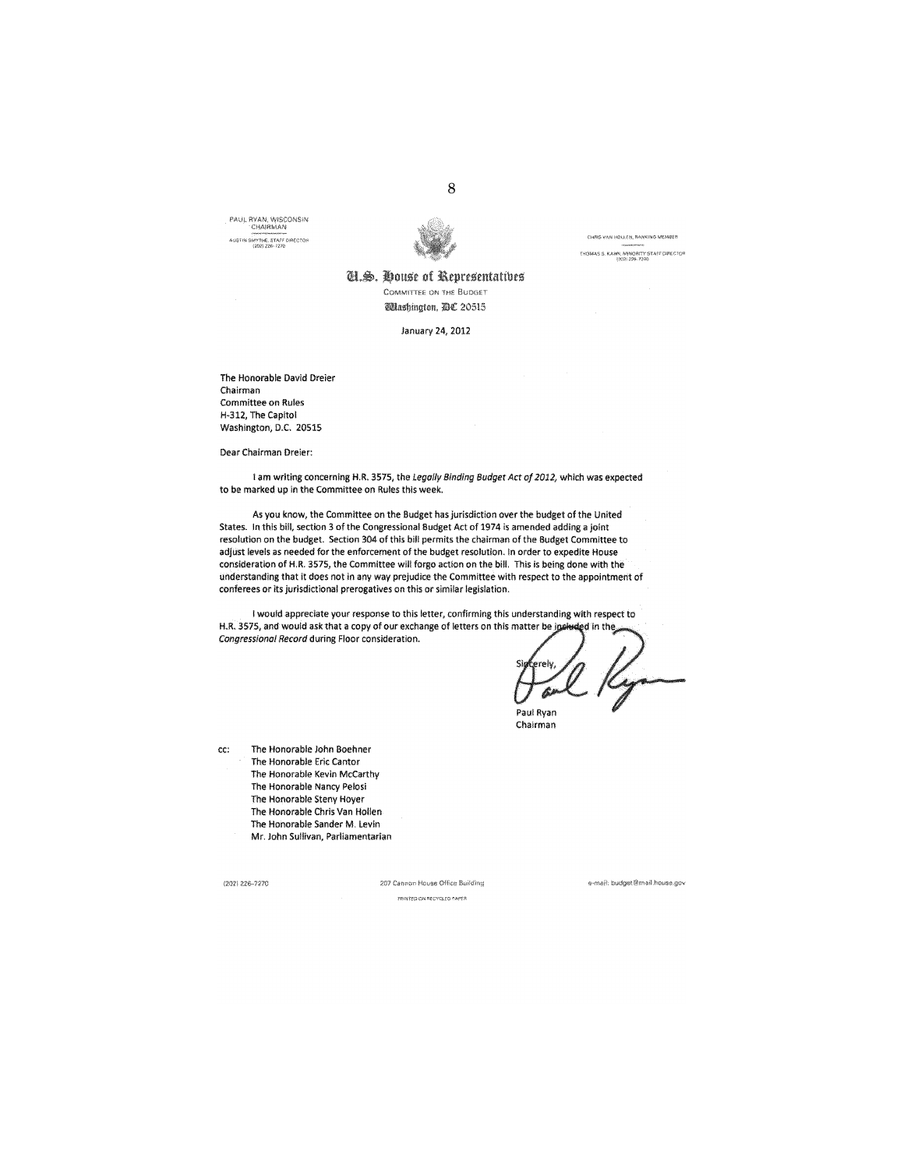PAUL RYAN, WISCONSIN AUSTIN SMYTHE, STAFF DIRECTOR



8

CHRIS VAN HOLLEN, RANKING MEMBER THOMAS S. KAHN, MINORITY STAFF DIRECTOR

## **A.S. House of Representatives** COMMITTEE ON THE BUDGET **Wlashington, DE 20515**

January 24, 2012

The Honorable David Dreier Chairman Committee on Rules H-312, The Capitol Washington, D.C. 20515

Dear Chairman Dreier:

I am writing concerning H.R. 3575, the Legally Binding Budget Act of 2012, which was expected to be marked up in the Committee on Rules this week.

As you know, the Committee on the Budget has jurisdiction over the budget of the United States. In this bill, section 3 of the Congressional Budget Act of 1974 is amended adding a joint resolution on the budget. Section 304 of this bill permits the chairman of the Budget Committee to adjust levels as needed for the enforcement of the budget resolution. In order to expedite House consideration of H.R. 3575, the Committee will forgo action on the bill. This is being done with the understanding that it does not in any way prejudice the Committee with respect to the appointment of conferees or its jurisdictional prerogatives on this or similar legislation.

I would appreciate your response to this letter, confirming this understanding with respect to H.R. 3575, and would ask that a copy of our exchange of letters on this matter be included in the Congressional Record during Floor consideration.

relv. Paul Ryan

Chairman

The Honorable John Boehner cc: The Honorable Eric Cantor The Honorable Kevin McCarthy The Honorable Nancy Pelosi The Honorable Steny Hoyer The Honorable Chris Van Hollen The Honorable Sander M. Levin Mr. John Sullivan, Parliamentarian

(202) 226-7270

207 Cannon House Office Building PRINTED ON RECYCLED PAPER

e-mail: budget@mail.house.gov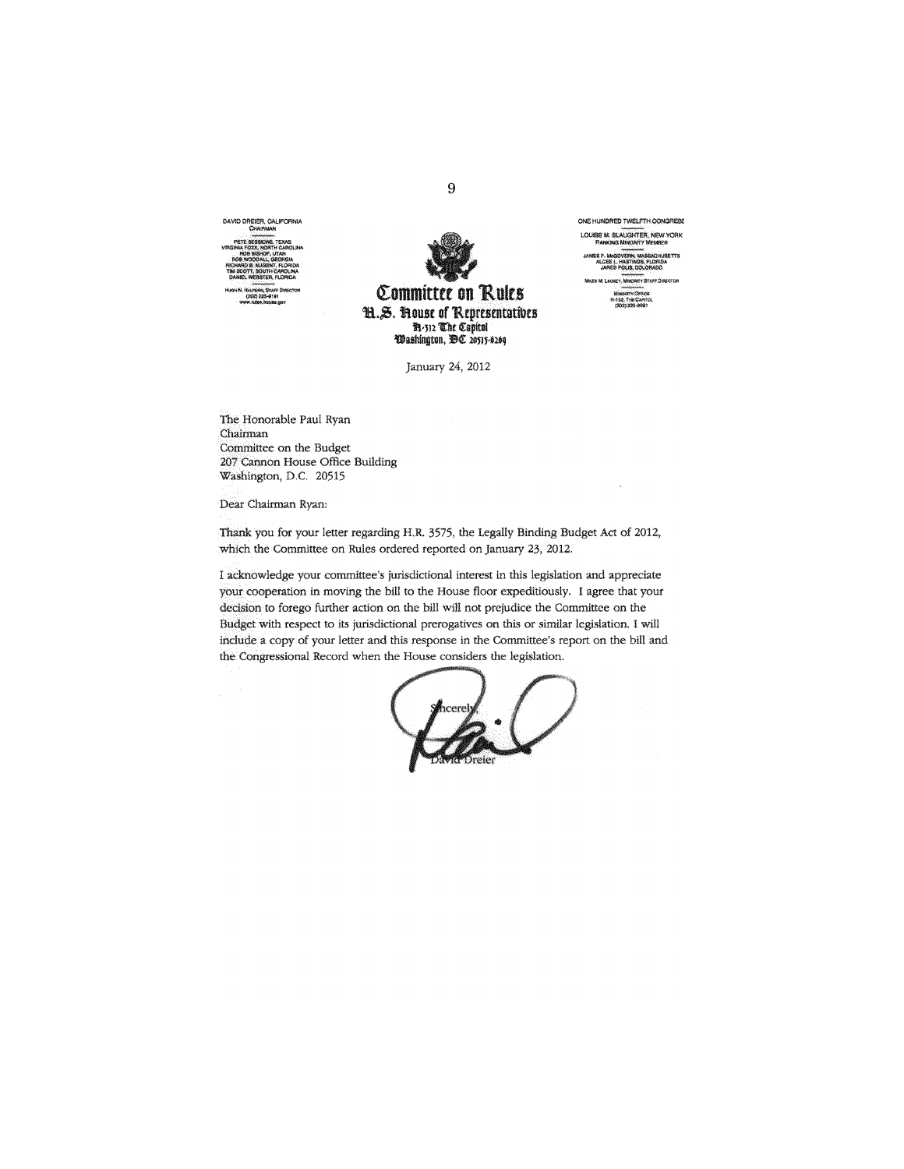DAVID DREIER, CALIFORNIA CHAR



ONE HUNDRED TWELFTH CONGRESS LOUISE M. SLAUGHTER, NEW YORK S P. MOGOVERN, MASSACHUSETTS<br>ALGEE L. HASTINGS, FLORIDA<br>JARED POLIS, COLORADO M. LACKEY, MANORITY STAPP DIRECT MINORITY OFFICE<br>H-152, The Oarmo<br>Home Resumer

January 24, 2012

The Honorable Paul Ryan Chairman Committee on the Budget 207 Cannon House Office Building Washington, D.C. 20515

Dear Chairman Ryan:

Thank you for your letter regarding H.R. 3575, the Legally Binding Budget Act of 2012, which the Committee on Rules ordered reported on January 23, 2012.

I acknowledge your committee's jurisdictional interest in this legislation and appreciate your cooperation in moving the bill to the House floor expeditiously. I agree that your decision to forego further action on the bill will not prejudice the Committee on the Budget with respect to its jurisdictional prerogatives on this or similar legislation. I will include a copy of your letter and this response in the Committee's report on the bill and the Congressional Record when the House considers the legislation.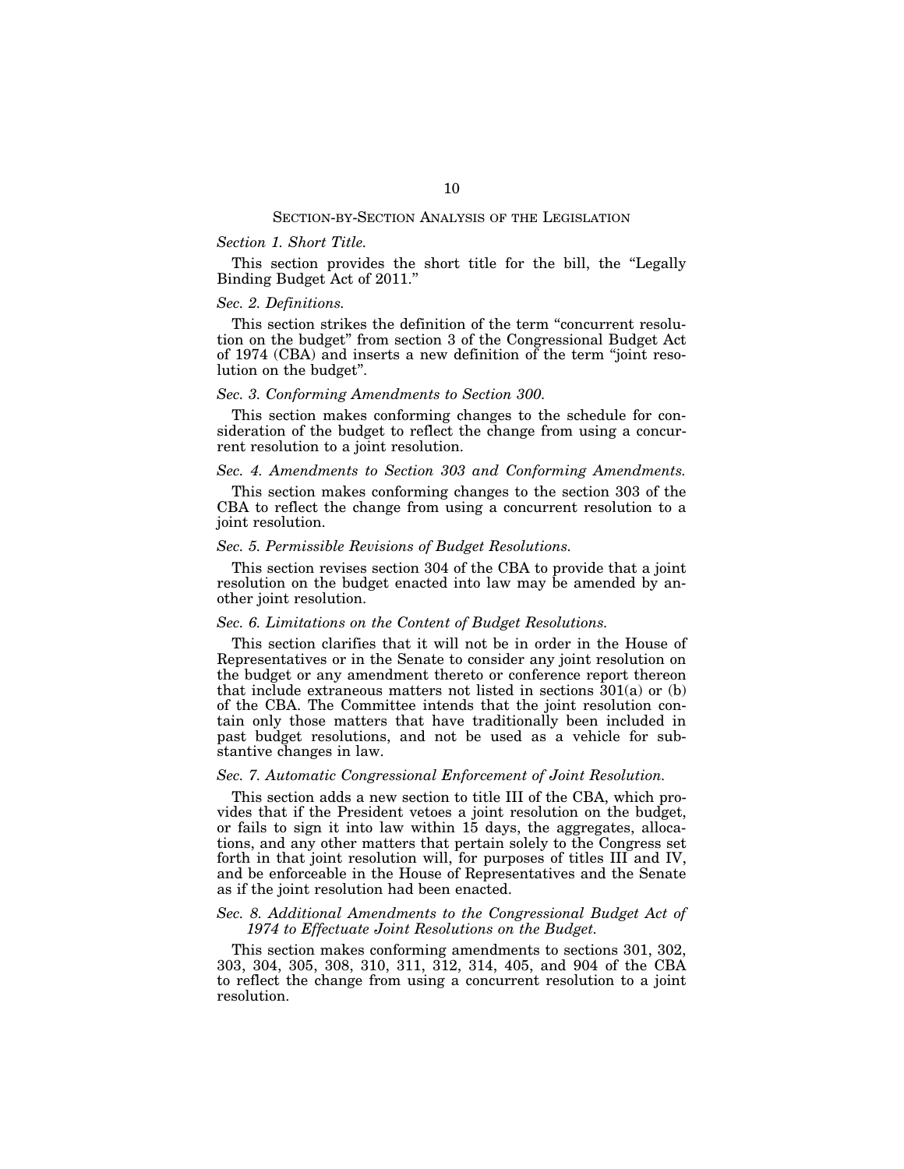### SECTION-BY-SECTION ANALYSIS OF THE LEGISLATION

### *Section 1. Short Title.*

This section provides the short title for the bill, the ''Legally Binding Budget Act of 2011.''

## *Sec. 2. Definitions.*

This section strikes the definition of the term ''concurrent resolution on the budget'' from section 3 of the Congressional Budget Act of 1974 (CBA) and inserts a new definition of the term ''joint resolution on the budget''.

### *Sec. 3. Conforming Amendments to Section 300.*

This section makes conforming changes to the schedule for consideration of the budget to reflect the change from using a concurrent resolution to a joint resolution.

## *Sec. 4. Amendments to Section 303 and Conforming Amendments.*

This section makes conforming changes to the section 303 of the CBA to reflect the change from using a concurrent resolution to a joint resolution.

## *Sec. 5. Permissible Revisions of Budget Resolutions.*

This section revises section 304 of the CBA to provide that a joint resolution on the budget enacted into law may be amended by another joint resolution.

## *Sec. 6. Limitations on the Content of Budget Resolutions.*

This section clarifies that it will not be in order in the House of Representatives or in the Senate to consider any joint resolution on the budget or any amendment thereto or conference report thereon that include extraneous matters not listed in sections 301(a) or (b) of the CBA. The Committee intends that the joint resolution contain only those matters that have traditionally been included in past budget resolutions, and not be used as a vehicle for substantive changes in law.

### *Sec. 7. Automatic Congressional Enforcement of Joint Resolution.*

This section adds a new section to title III of the CBA, which provides that if the President vetoes a joint resolution on the budget, or fails to sign it into law within 15 days, the aggregates, allocations, and any other matters that pertain solely to the Congress set forth in that joint resolution will, for purposes of titles III and IV, and be enforceable in the House of Representatives and the Senate as if the joint resolution had been enacted.

### *Sec. 8. Additional Amendments to the Congressional Budget Act of 1974 to Effectuate Joint Resolutions on the Budget.*

This section makes conforming amendments to sections 301, 302, 303, 304, 305, 308, 310, 311, 312, 314, 405, and 904 of the CBA to reflect the change from using a concurrent resolution to a joint resolution.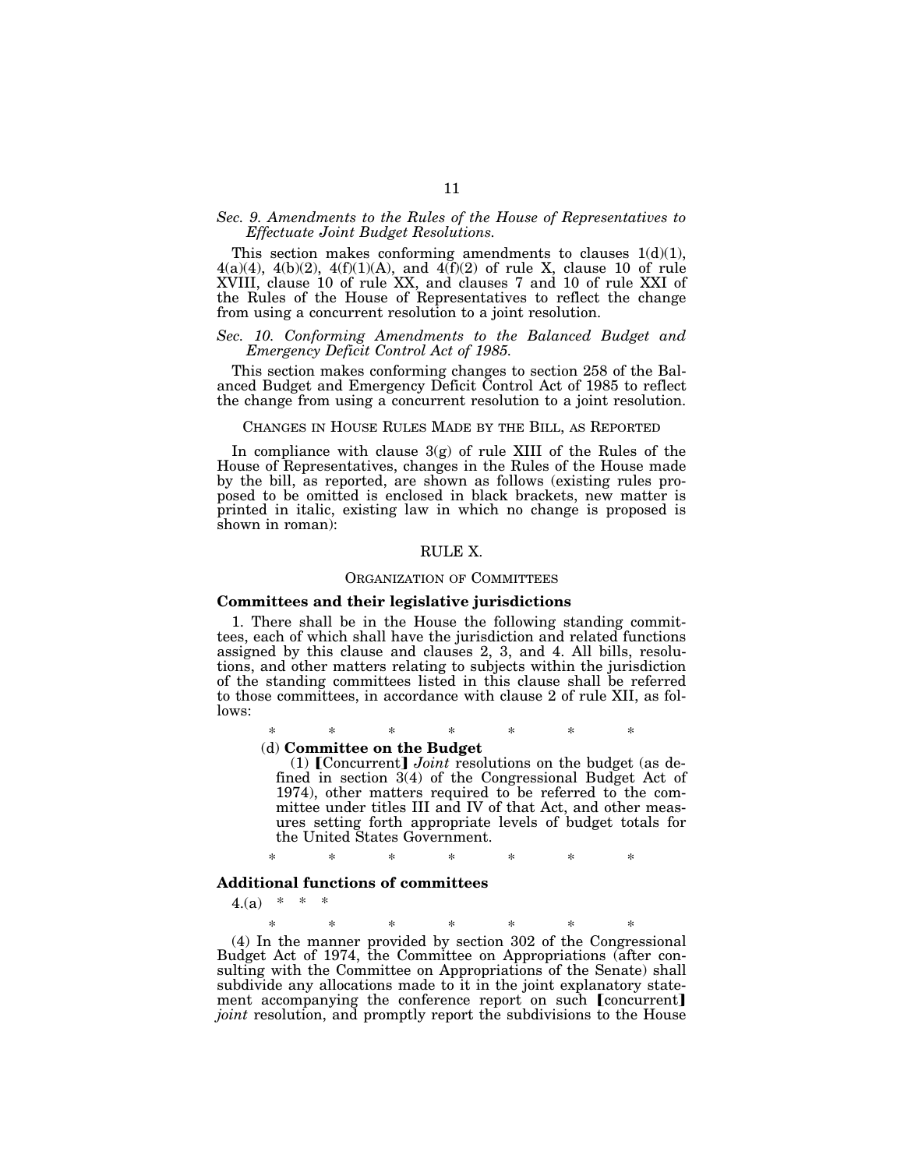## *Sec. 9. Amendments to the Rules of the House of Representatives to Effectuate Joint Budget Resolutions.*

This section makes conforming amendments to clauses  $1(d)(1)$ ,  $4(a)(4)$ ,  $4(b)(2)$ ,  $4(f)(1)(A)$ , and  $4(f)(2)$  of rule X, clause 10 of rule XVIII, clause 10 of rule XX, and clauses 7 and 10 of rule XXI of the Rules of the House of Representatives to reflect the change from using a concurrent resolution to a joint resolution.

## *Sec. 10. Conforming Amendments to the Balanced Budget and Emergency Deficit Control Act of 1985.*

This section makes conforming changes to section 258 of the Balanced Budget and Emergency Deficit Control Act of 1985 to reflect the change from using a concurrent resolution to a joint resolution.

## CHANGES IN HOUSE RULES MADE BY THE BILL, AS REPORTED

In compliance with clause  $3(g)$  of rule XIII of the Rules of the House of Representatives, changes in the Rules of the House made by the bill, as reported, are shown as follows (existing rules proposed to be omitted is enclosed in black brackets, new matter is printed in italic, existing law in which no change is proposed is shown in roman):

## RULE X.

#### ORGANIZATION OF COMMITTEES

### **Committees and their legislative jurisdictions**

1. There shall be in the House the following standing committees, each of which shall have the jurisdiction and related functions assigned by this clause and clauses 2, 3, and 4. All bills, resolutions, and other matters relating to subjects within the jurisdiction of the standing committees listed in this clause shall be referred to those committees, in accordance with clause 2 of rule XII, as follows:

## \* \* \* \* \* \* \*

## (d) **Committee on the Budget**

(1) [Concurrent] *Joint* resolutions on the budget (as defined in section 3(4) of the Congressional Budget Act of 1974), other matters required to be referred to the committee under titles III and IV of that Act, and other measures setting forth appropriate levels of budget totals for the United States Government.

\* \* \* \* \* \* \*

## **Additional functions of committees**

 $4.(a) * * * *$ 

\* \* \* \* \* \* \*

(4) In the manner provided by section 302 of the Congressional Budget Act of 1974, the Committee on Appropriations (after consulting with the Committee on Appropriations of the Senate) shall subdivide any allocations made to it in the joint explanatory statement accompanying the conference report on such [concurrent] *joint* resolution, and promptly report the subdivisions to the House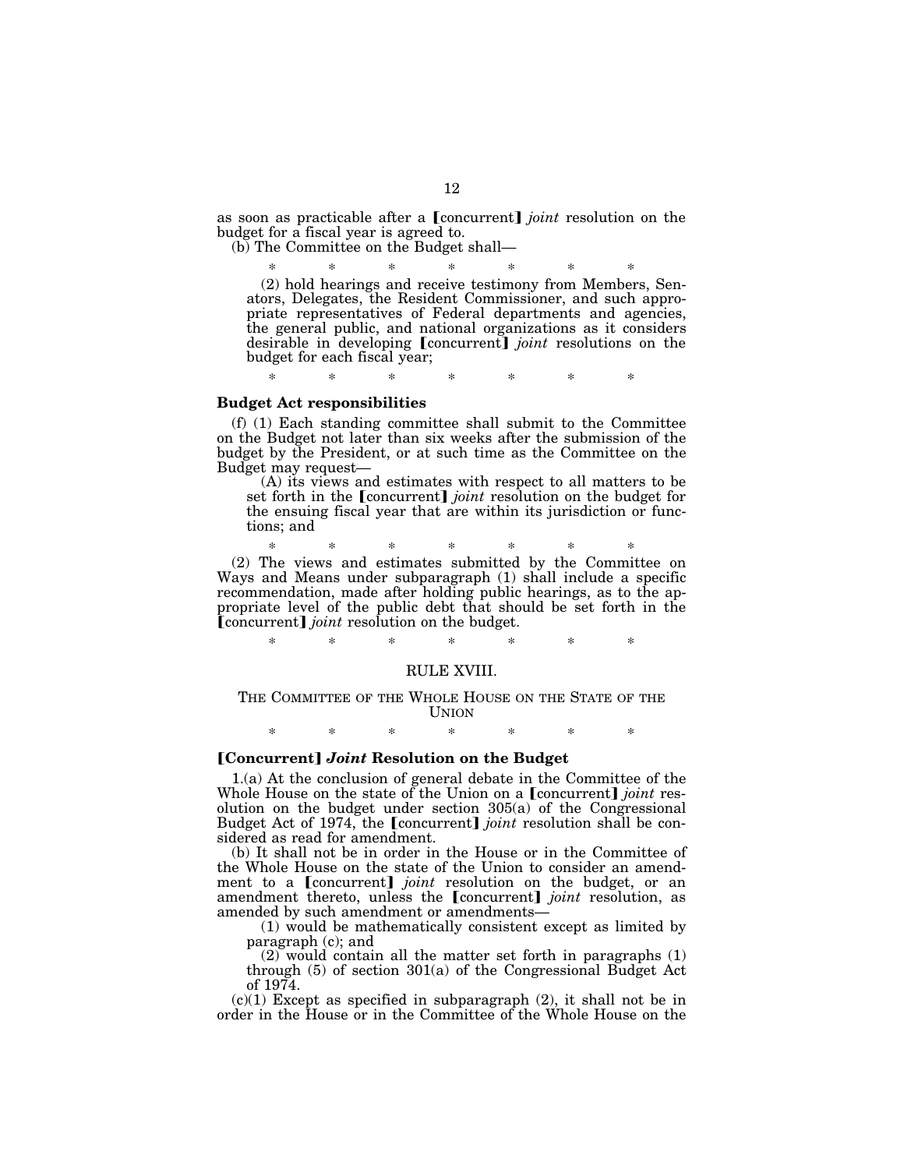as soon as practicable after a **[**concurrent] *joint* resolution on the budget for a fiscal year is agreed to.

(b) The Committee on the Budget shall—

\* \* \* \* \* \* \* (2) hold hearings and receive testimony from Members, Senators, Delegates, the Resident Commissioner, and such appropriate representatives of Federal departments and agencies, the general public, and national organizations as it considers desirable in developing *[concurrent] joint* resolutions on the budget for each fiscal year;

\* \* \* \* \* \* \*

## **Budget Act responsibilities**

(f) (1) Each standing committee shall submit to the Committee on the Budget not later than six weeks after the submission of the budget by the President, or at such time as the Committee on the Budget may request—

(A) its views and estimates with respect to all matters to be set forth in the **[**concurrent**]** *joint* resolution on the budget for the ensuing fiscal year that are within its jurisdiction or functions; and

\* \* \* \* \* \* \* (2) The views and estimates submitted by the Committee on Ways and Means under subparagraph (1) shall include a specific recommendation, made after holding public hearings, as to the appropriate level of the public debt that should be set forth in the **[concurrent]** *joint* resolution on the budget.

\* \* \* \* \* \* \*

### RULE XVIII.

## THE COMMITTEE OF THE WHOLE HOUSE ON THE STATE OF THE **UNION**

\* \* \* \* \* \* \*

## **[Concurrent]** *Joint* **Resolution on the Budget**

1.(a) At the conclusion of general debate in the Committee of the Whole House on the state of the Union on a [concurrent] *joint* resolution on the budget under section 305(a) of the Congressional Budget Act of 1974, the [concurrent] *joint* resolution shall be considered as read for amendment.

(b) It shall not be in order in the House or in the Committee of the Whole House on the state of the Union to consider an amendment to a [concurrent] *joint* resolution on the budget, or an amendment thereto, unless the [concurrent] *joint* resolution, as amended by such amendment or amendments-

(1) would be mathematically consistent except as limited by paragraph (c); and

(2) would contain all the matter set forth in paragraphs (1) through (5) of section 301(a) of the Congressional Budget Act of 1974.

 $(c)(1)$  Except as specified in subparagraph  $(2)$ , it shall not be in order in the House or in the Committee of the Whole House on the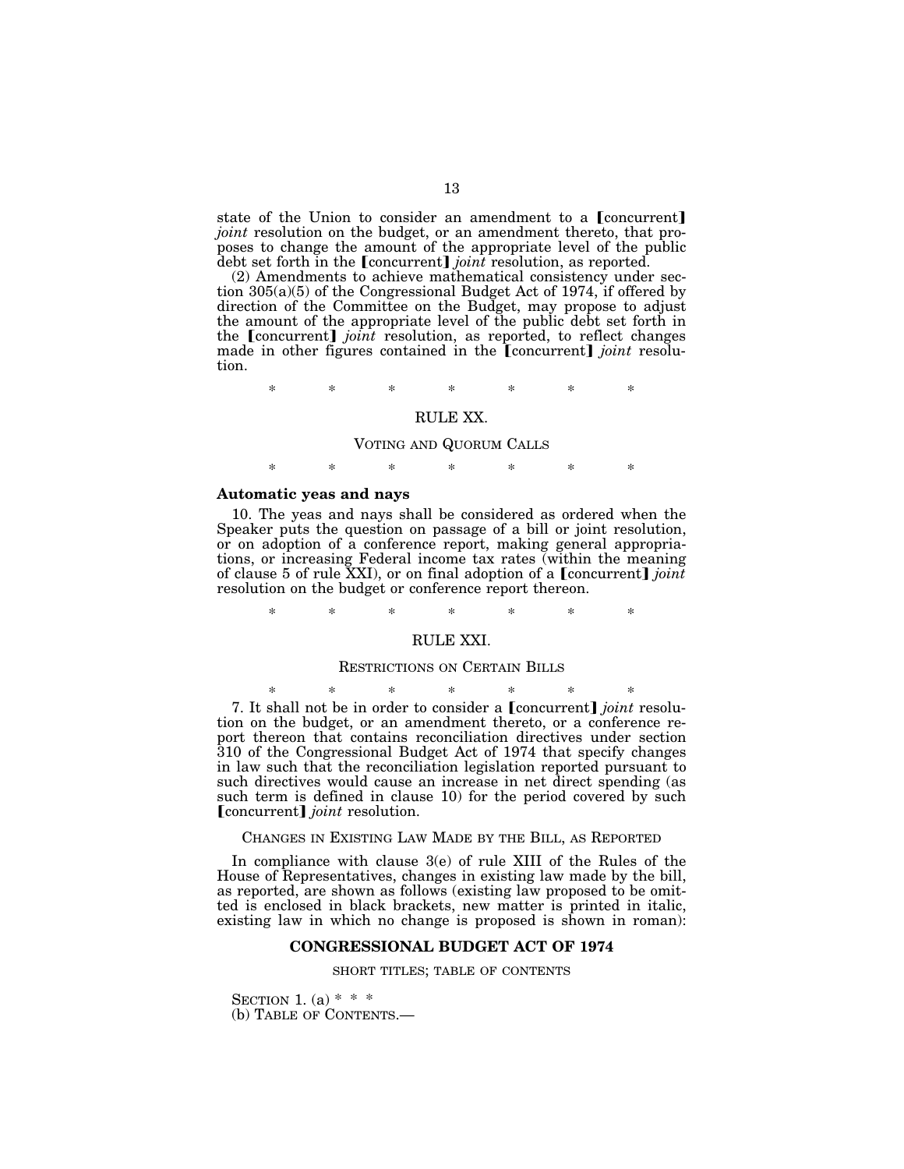state of the Union to consider an amendment to a  $\lceil$  concurrent $\rceil$ *joint* resolution on the budget, or an amendment thereto, that proposes to change the amount of the appropriate level of the public debt set forth in the [concurrent] *joint* resolution, as reported.

(2) Amendments to achieve mathematical consistency under section 305(a)(5) of the Congressional Budget Act of 1974, if offered by direction of the Committee on the Budget, may propose to adjust the amount of the appropriate level of the public debt set forth in the [concurrent] *joint* resolution, as reported, to reflect changes made in other figures contained in the **[**concurrent] *joint* resolution.

\* \* \* \* \* \* \*

### RULE XX.

### VOTING AND QUORUM CALLS

\* \* \* \* \* \* \*

### **Automatic yeas and nays**

10. The yeas and nays shall be considered as ordered when the Speaker puts the question on passage of a bill or joint resolution, or on adoption of a conference report, making general appropriations, or increasing Federal income tax rates (within the meaning of clause 5 of rule XXI), or on final adoption of a  $[concurrent]$  *joint* resolution on the budget or conference report thereon.

\* \* \* \* \* \* \*

## RULE XXI.

### RESTRICTIONS ON CERTAIN BILLS

\* \* \* \* \* \* \* 7. It shall not be in order to consider a **[**concurrent**]** *joint* resolution on the budget, or an amendment thereto, or a conference report thereon that contains reconciliation directives under section 310 of the Congressional Budget Act of 1974 that specify changes in law such that the reconciliation legislation reported pursuant to such directives would cause an increase in net direct spending (as such term is defined in clause 10) for the period covered by such **[**concurrent] *joint* resolution.

### CHANGES IN EXISTING LAW MADE BY THE BILL, AS REPORTED

In compliance with clause 3(e) of rule XIII of the Rules of the House of Representatives, changes in existing law made by the bill, as reported, are shown as follows (existing law proposed to be omitted is enclosed in black brackets, new matter is printed in italic, existing law in which no change is proposed is shown in roman):

### **CONGRESSIONAL BUDGET ACT OF 1974**

SHORT TITLES; TABLE OF CONTENTS

SECTION 1. (a)  $* * *$ (b) TABLE OF CONTENTS.—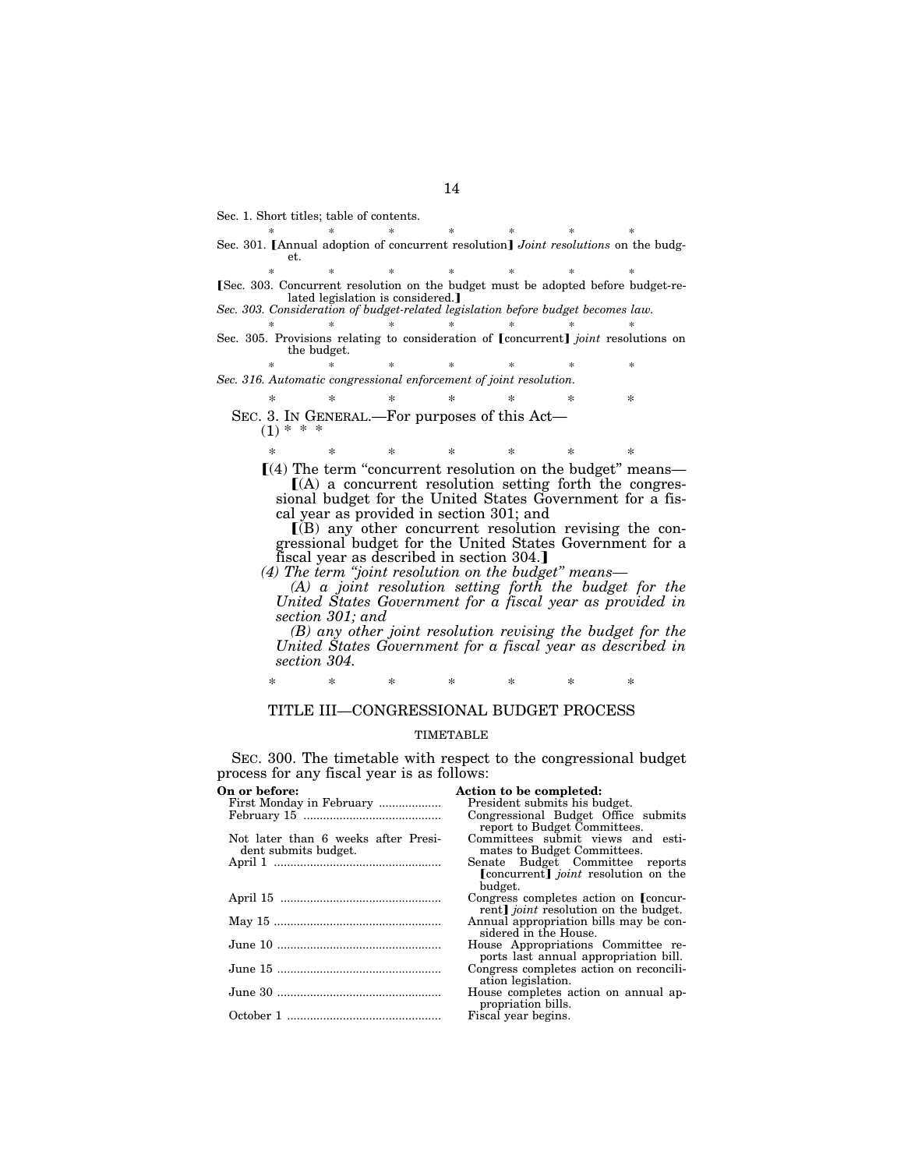Sec. 1. Short titles; table of contents.

\* \* \* \* \* \* \* Sec. 301. [Annual adoption of concurrent resolution] *Joint resolutions* on the budget. **Sec.** 303. Concurrent resolution on the budget must be adopted before budget-related legislation is considered.] *Sec. 303. Consideration of budget-related legislation before budget becomes law.*  \* \* \* \* \* \* \* Sec. 305. Provisions relating to consideration of [concurrent] *joint* resolutions on the budget. \* \* \* \* \* \* \* *Sec. 316. Automatic congressional enforcement of joint resolution.*  \* \* \* \* \* \* \* SEC. 3. IN GENERAL.—For purposes of this Act—  $(1) * * * *$ \* \* \* \* \* \* \*  $(a)$  The term "concurrent resolution on the budget" means—  $(A)$  a concurrent resolution setting forth the congressional budget for the United States Government for a fiscal year as provided in section 301; and  $I(B)$  any other concurrent resolution revising the con-

gressional budget for the United States Government for a fiscal year as described in section 304.]

*(4) The term ''joint resolution on the budget'' means—* 

*(A) a joint resolution setting forth the budget for the United States Government for a fiscal year as provided in section 301; and* 

*(B) any other joint resolution revising the budget for the United States Government for a fiscal year as described in section 304.* 

\* \* \* \* \* \* \*

## TITLE III—CONGRESSIONAL BUDGET PROCESS

### TIMETABLE

SEC. 300. The timetable with respect to the congressional budget process for any fiscal year is as follows:

| On or before:                       | Action to be completed:                                     |
|-------------------------------------|-------------------------------------------------------------|
| First Monday in February            | President submits his budget.                               |
|                                     | Congressional Budget Office submits                         |
|                                     | report to Budget Committees.                                |
| Not later than 6 weeks after Presi- | Committees submit views and esti-                           |
| dent submits budget.                | mates to Budget Committees.                                 |
|                                     | Senate Budget Committee reports                             |
|                                     | <b>Concurrent</b> <i>joint</i> resolution on the<br>budget. |
|                                     | Congress completes action on [concur-                       |
|                                     | rent] <i>joint</i> resolution on the budget.                |
|                                     | Annual appropriation bills may be con-                      |
|                                     | sidered in the House.                                       |
|                                     | House Appropriations Committee re-                          |
|                                     | ports last annual appropriation bill.                       |
|                                     | Congress completes action on reconcili-                     |
|                                     | ation legislation.                                          |
|                                     | House completes action on annual ap-                        |
|                                     | propriation bills.                                          |
|                                     | Fiscal year begins.                                         |
|                                     |                                                             |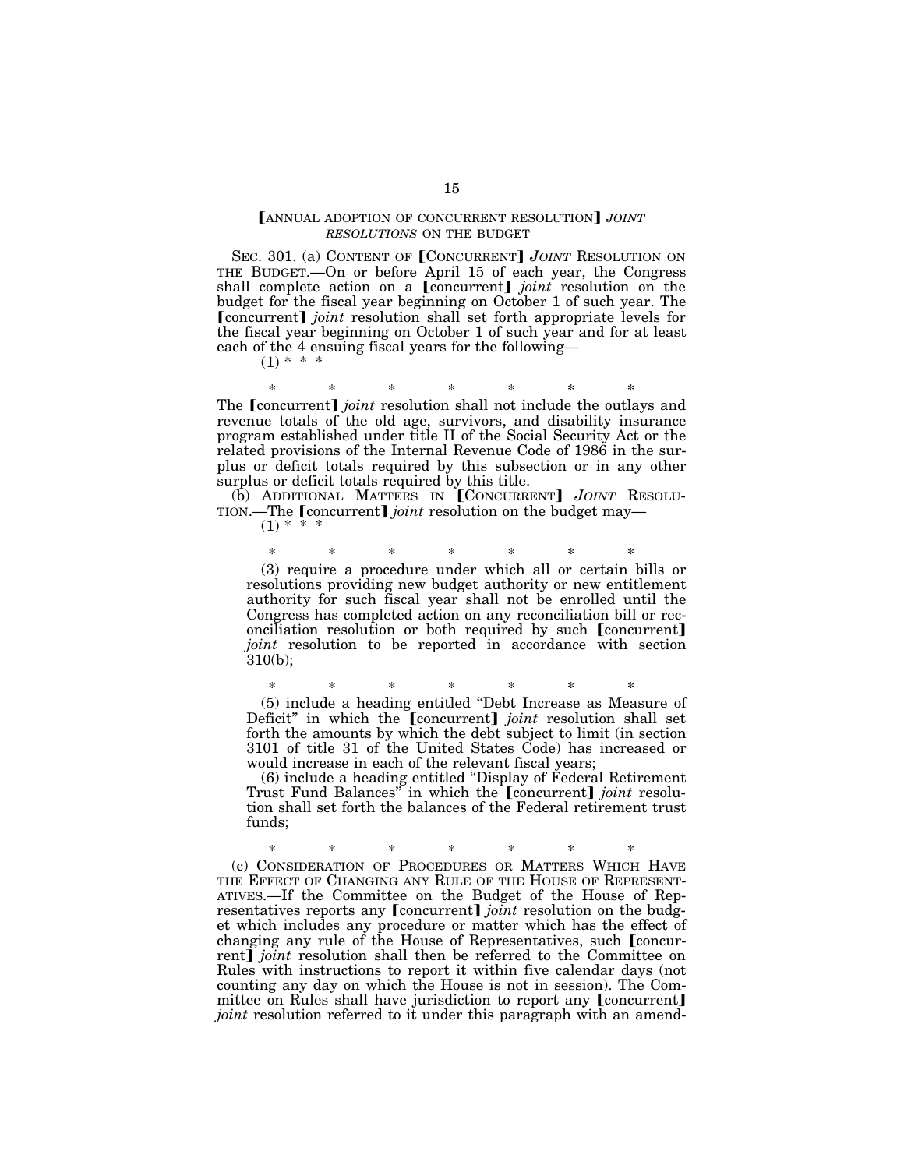### **[ANNUAL ADOPTION OF CONCURRENT RESOLUTION] JOINT** *RESOLUTIONS* ON THE BUDGET

SEC. 301. (a) CONTENT OF **[CONCURRENT**] *JOINT* RESOLUTION ON THE BUDGET.—On or before April 15 of each year, the Congress shall complete action on a *[concurrent] joint* resolution on the budget for the fiscal year beginning on October 1 of such year. The **[concurrent]** *joint* resolution shall set forth appropriate levels for the fiscal year beginning on October 1 of such year and for at least each of the 4 ensuing fiscal years for the following—

 $(1) * * * *$ 

\* \* \* \* \* \* \* The [concurrent] *joint* resolution shall not include the outlays and revenue totals of the old age, survivors, and disability insurance program established under title II of the Social Security Act or the related provisions of the Internal Revenue Code of 1986 in the surplus or deficit totals required by this subsection or in any other surplus or deficit totals required by this title.

(b) ADDITIONAL MATTERS IN [CONCURRENT] *JOINT* RESOLU-TION.—The [concurrent] *joint* resolution on the budget may-

 $(1) *$ 

\* \* \* \* \* \* \*

(3) require a procedure under which all or certain bills or resolutions providing new budget authority or new entitlement authority for such fiscal year shall not be enrolled until the Congress has completed action on any reconciliation bill or reconciliation resolution or both required by such [concurrent] *joint* resolution to be reported in accordance with section  $310(b);$ 

\* \* \* \* \* \* \* (5) include a heading entitled ''Debt Increase as Measure of Deficit" in which the *[concurrent] joint* resolution shall set forth the amounts by which the debt subject to limit (in section 3101 of title 31 of the United States Code) has increased or would increase in each of the relevant fiscal years;

(6) include a heading entitled ''Display of Federal Retirement Trust Fund Balances" in which the [concurrent] joint resolution shall set forth the balances of the Federal retirement trust funds;

\* \* \* \* \* \* \* (c) CONSIDERATION OF PROCEDURES OR MATTERS WHICH HAVE THE EFFECT OF CHANGING ANY RULE OF THE HOUSE OF REPRESENT-ATIVES.—If the Committee on the Budget of the House of Representatives reports any [concurrent] *joint* resolution on the budget which includes any procedure or matter which has the effect of changing any rule of the House of Representatives, such [concurrent] *joint* resolution shall then be referred to the Committee on Rules with instructions to report it within five calendar days (not counting any day on which the House is not in session). The Committee on Rules shall have jurisdiction to report any [concurrent] *joint* resolution referred to it under this paragraph with an amend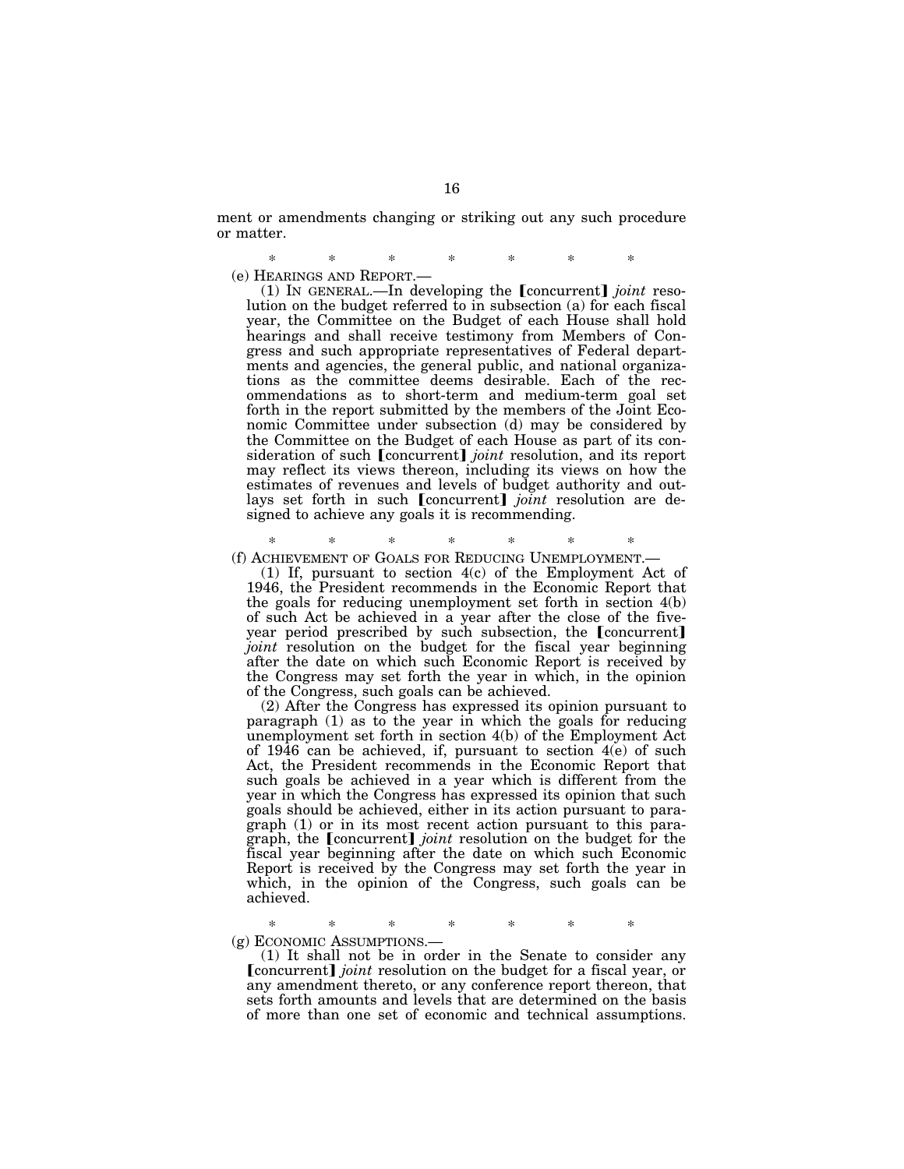ment or amendments changing or striking out any such procedure or matter.

\* \* \* \* \* \* \*

(e) HEARINGS AND REPORT.—

(1) IN GENERAL.—In developing the [concurrent] *joint* resolution on the budget referred to in subsection (a) for each fiscal year, the Committee on the Budget of each House shall hold hearings and shall receive testimony from Members of Congress and such appropriate representatives of Federal departments and agencies, the general public, and national organizations as the committee deems desirable. Each of the recommendations as to short-term and medium-term goal set forth in the report submitted by the members of the Joint Economic Committee under subsection (d) may be considered by the Committee on the Budget of each House as part of its consideration of such [concurrent] *joint* resolution, and its report may reflect its views thereon, including its views on how the estimates of revenues and levels of budget authority and outlays set forth in such [concurrent] *joint* resolution are designed to achieve any goals it is recommending.

\* \* \* \* \* \* \* (f) ACHIEVEMENT OF GOALS FOR REDUCING UNEMPLOYMENT.—

(1) If, pursuant to section 4(c) of the Employment Act of 1946, the President recommends in the Economic Report that the goals for reducing unemployment set forth in section 4(b) of such Act be achieved in a year after the close of the fiveyear period prescribed by such subsection, the [concurrent] *joint* resolution on the budget for the fiscal year beginning after the date on which such Economic Report is received by the Congress may set forth the year in which, in the opinion of the Congress, such goals can be achieved.

(2) After the Congress has expressed its opinion pursuant to paragraph (1) as to the year in which the goals for reducing unemployment set forth in section 4(b) of the Employment Act of 1946 can be achieved, if, pursuant to section  $4(e)$  of such Act, the President recommends in the Economic Report that such goals be achieved in a year which is different from the year in which the Congress has expressed its opinion that such goals should be achieved, either in its action pursuant to paragraph (1) or in its most recent action pursuant to this paragraph, the [concurrent] *joint* resolution on the budget for the fiscal year beginning after the date on which such Economic Report is received by the Congress may set forth the year in which, in the opinion of the Congress, such goals can be achieved.

\* \* \* \* \* \* \* (g) ECONOMIC ASSUMPTIONS.—

(1) It shall not be in order in the Senate to consider any **[concurrent]** *joint* resolution on the budget for a fiscal year, or any amendment thereto, or any conference report thereon, that sets forth amounts and levels that are determined on the basis of more than one set of economic and technical assumptions.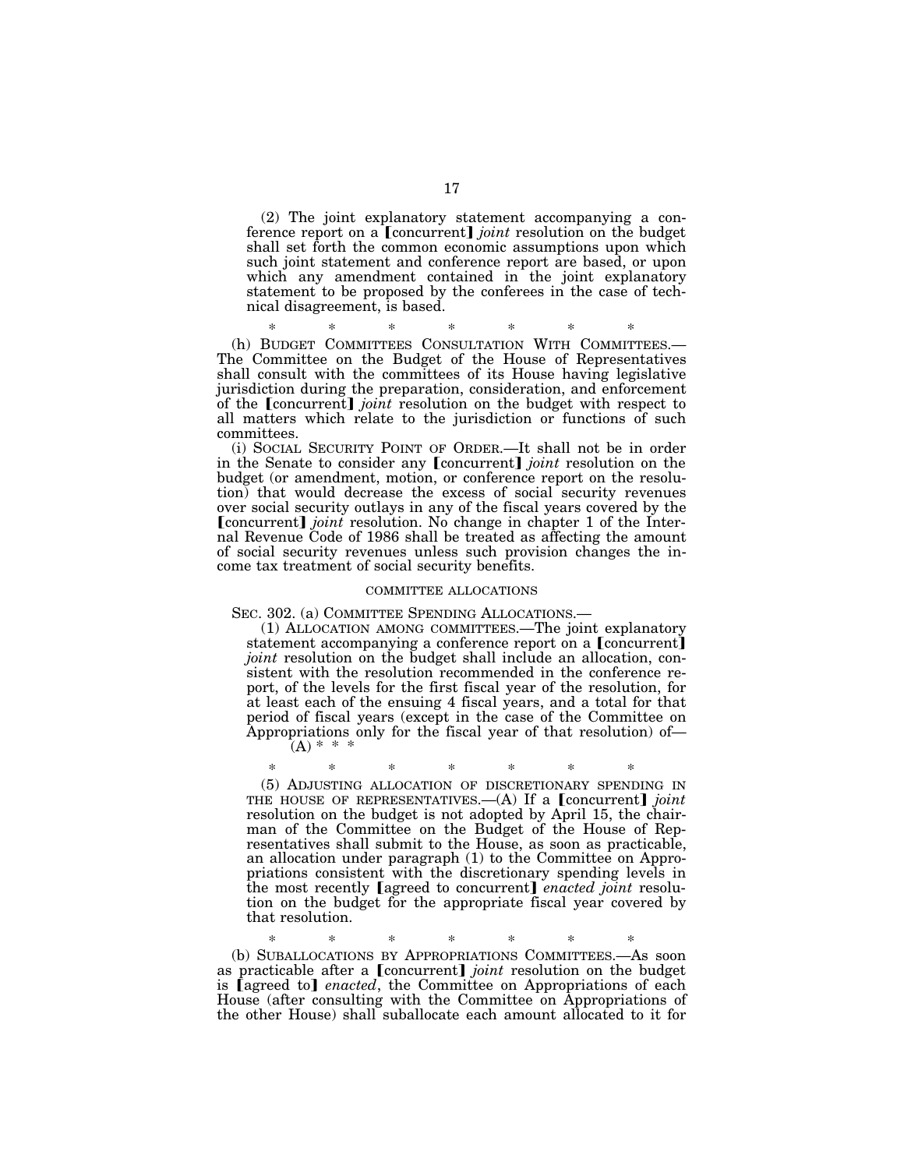(2) The joint explanatory statement accompanying a conference report on a **[concurrent]** *joint* resolution on the budget shall set forth the common economic assumptions upon which such joint statement and conference report are based, or upon which any amendment contained in the joint explanatory statement to be proposed by the conferees in the case of technical disagreement, is based.

\* \* \* \* \* \* \*

(h) BUDGET COMMITTEES CONSULTATION WITH COMMITTEES.— The Committee on the Budget of the House of Representatives shall consult with the committees of its House having legislative jurisdiction during the preparation, consideration, and enforcement of the **[**concurrent**]** *joint* resolution on the budget with respect to all matters which relate to the jurisdiction or functions of such committees.

(i) SOCIAL SECURITY POINT OF ORDER.—It shall not be in order in the Senate to consider any **[**concurrent**]** *joint* resolution on the budget (or amendment, motion, or conference report on the resolution) that would decrease the excess of social security revenues over social security outlays in any of the fiscal years covered by the **[concurrent]** *joint* resolution. No change in chapter 1 of the Internal Revenue Code of 1986 shall be treated as affecting the amount of social security revenues unless such provision changes the income tax treatment of social security benefits.

### COMMITTEE ALLOCATIONS

SEC. 302. (a) COMMITTEE SPENDING ALLOCATIONS.—

(1) ALLOCATION AMONG COMMITTEES.—The joint explanatory statement accompanying a conference report on a [concurrent] *joint* resolution on the budget shall include an allocation, consistent with the resolution recommended in the conference report, of the levels for the first fiscal year of the resolution, for at least each of the ensuing 4 fiscal years, and a total for that period of fiscal years (except in the case of the Committee on Appropriations only for the fiscal year of that resolution) of—  $(A) * * *$ 

\* \* \* \* \* \* \*

(5) ADJUSTING ALLOCATION OF DISCRETIONARY SPENDING IN THE HOUSE OF REPRESENTATIVES.— $(A)$  If a [concurrent] *joint* resolution on the budget is not adopted by April 15, the chairman of the Committee on the Budget of the House of Representatives shall submit to the House, as soon as practicable, an allocation under paragraph (1) to the Committee on Appropriations consistent with the discretionary spending levels in the most recently **[agreed to concurrent]** *enacted joint* resolution on the budget for the appropriate fiscal year covered by that resolution.

\* \* \* \* \* \* \*

(b) SUBALLOCATIONS BY APPROPRIATIONS COMMITTEES.—As soon as practicable after a **[**concurrent] *joint* resolution on the budget is **[agreed to]** *enacted*, the Committee on Appropriations of each House (after consulting with the Committee on Appropriations of the other House) shall suballocate each amount allocated to it for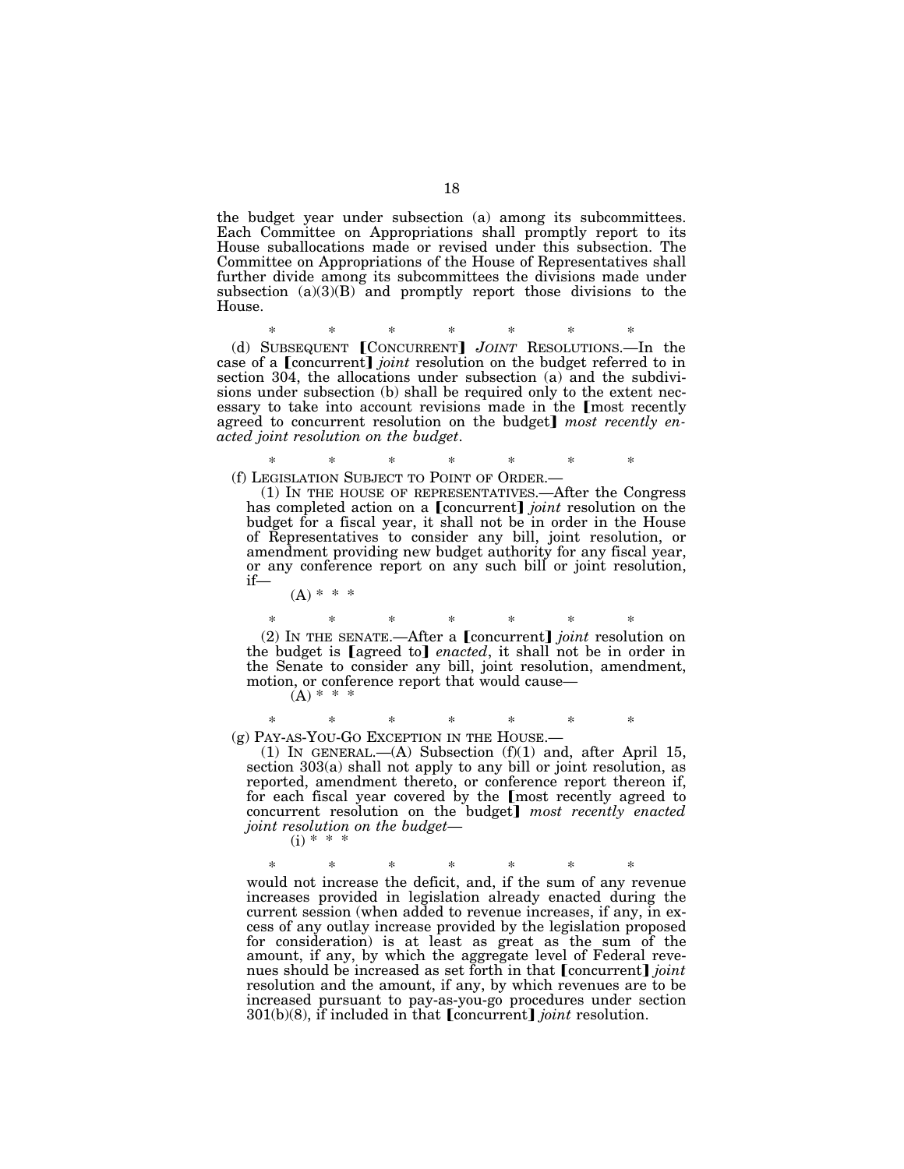the budget year under subsection (a) among its subcommittees. Each Committee on Appropriations shall promptly report to its House suballocations made or revised under this subsection. The Committee on Appropriations of the House of Representatives shall further divide among its subcommittees the divisions made under subsection  $(a)(3)(B)$  and promptly report those divisions to the House.

\* \* \* \* \* \* \*

(d) SUBSEQUENT [CONCURRENT] *JOINT* RESOLUTIONS.—In the case of a [concurrent] *joint* resolution on the budget referred to in section 304, the allocations under subsection (a) and the subdivisions under subsection (b) shall be required only to the extent necessary to take into account revisions made in the [most recently agreed to concurrent resolution on the budget] most recently en*acted joint resolution on the budget*.

\* \* \* \* \* \* \* (f) LEGISLATION SUBJECT TO POINT OF ORDER.—

(1) IN THE HOUSE OF REPRESENTATIVES.—After the Congress has completed action on a [concurrent] *joint* resolution on the budget for a fiscal year, it shall not be in order in the House of Representatives to consider any bill, joint resolution, or amendment providing new budget authority for any fiscal year, or any conference report on any such bill or joint resolution, if—

(A) \* \* \*

\* \* \* \* \* \* \* (2) IN THE SENATE.—After a øconcurrent¿ *joint* resolution on the budget is [agreed to] *enacted*, it shall not be in order in the Senate to consider any bill, joint resolution, amendment, motion, or conference report that would cause—

 $(A) * *$ 

\* \* \* \* \* \* \*

(g) PAY-AS-YOU-GO EXCEPTION IN THE HOUSE.—

(1) IN GENERAL.—(A) Subsection (f)(1) and, after April 15, section 303(a) shall not apply to any bill or joint resolution, as reported, amendment thereto, or conference report thereon if, for each fiscal year covered by the [most recently agreed to concurrent resolution on the budget] most recently enacted *joint resolution on the budget*—  $(i) * * * *$ 

\* \* \* \* \* \* \* would not increase the deficit, and, if the sum of any revenue increases provided in legislation already enacted during the current session (when added to revenue increases, if any, in excess of any outlay increase provided by the legislation proposed for consideration) is at least as great as the sum of the amount, if any, by which the aggregate level of Federal revenues should be increased as set forth in that  $[concurrent]$  *joint* resolution and the amount, if any, by which revenues are to be increased pursuant to pay-as-you-go procedures under section 301(b)(8), if included in that [concurrent] *joint* resolution.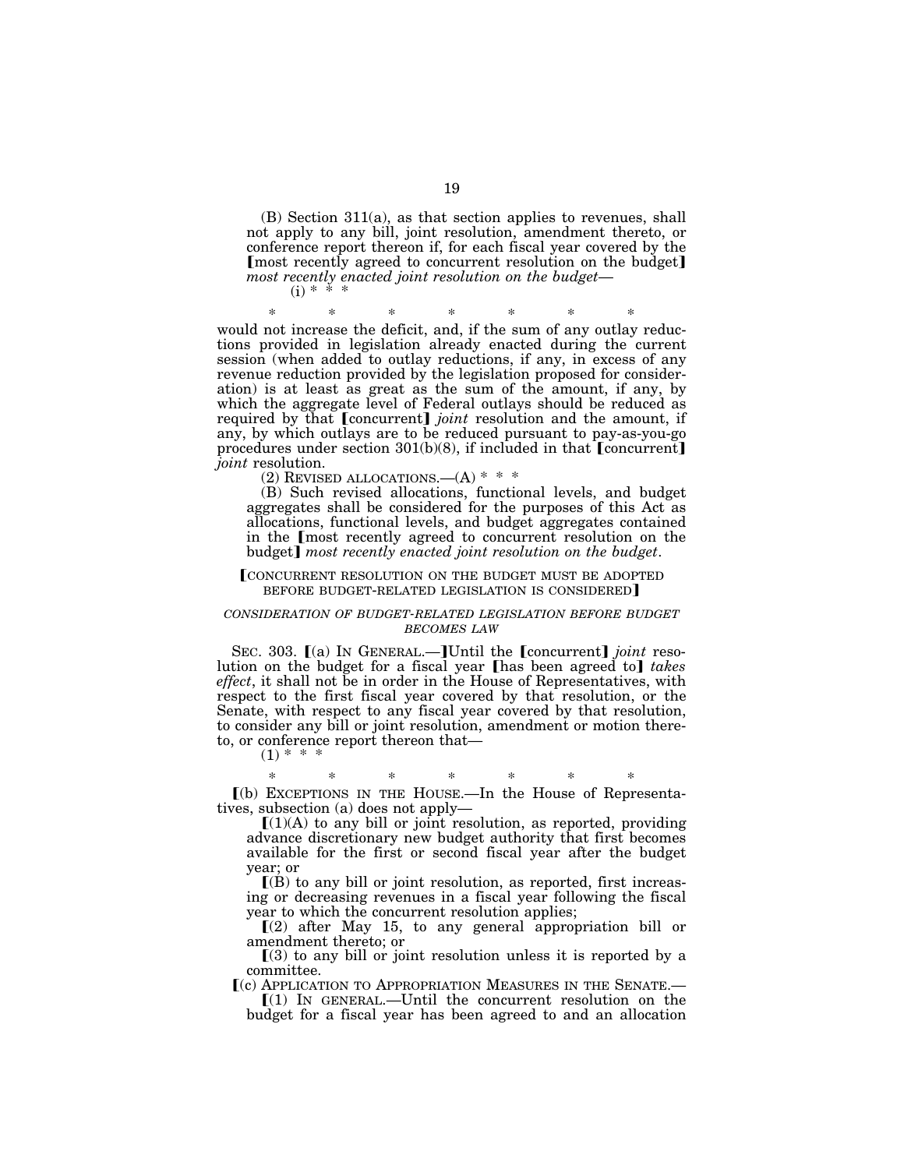(B) Section 311(a), as that section applies to revenues, shall not apply to any bill, joint resolution, amendment thereto, or conference report thereon if, for each fiscal year covered by the [most recently agreed to concurrent resolution on the budget] *most recently enacted joint resolution on the budget*— (i) \* \* \*

\* \* \* \* \* \* \*

would not increase the deficit, and, if the sum of any outlay reductions provided in legislation already enacted during the current session (when added to outlay reductions, if any, in excess of any revenue reduction provided by the legislation proposed for consideration) is at least as great as the sum of the amount, if any, by which the aggregate level of Federal outlays should be reduced as required by that [concurrent] *joint* resolution and the amount, if any, by which outlays are to be reduced pursuant to pay-as-you-go procedures under section  $301(b)(8)$ , if included in that [concurrent] *joint* resolution.

(2) REVISED ALLOCATIONS.—(A) \* \* \*

(B) Such revised allocations, functional levels, and budget aggregates shall be considered for the purposes of this Act as allocations, functional levels, and budget aggregates contained in the [most recently agreed to concurrent resolution on the budget] most recently enacted joint resolution on the budget.

### CONCURRENT RESOLUTION ON THE BUDGET MUST BE ADOPTED BEFORE BUDGET-RELATED LEGISLATION IS CONSIDERED]

### *CONSIDERATION OF BUDGET-RELATED LEGISLATION BEFORE BUDGET BECOMES LAW*

SEC. 303. [(a) IN GENERAL.—**]**Until the [concurrent] *joint* resolution on the budget for a fiscal year **[has been agreed to]** takes *effect*, it shall not be in order in the House of Representatives, with respect to the first fiscal year covered by that resolution, or the Senate, with respect to any fiscal year covered by that resolution, to consider any bill or joint resolution, amendment or motion thereto, or conference report thereon that—

 $(1) * * * *$ 

# \* \* \* \* \* \* \* ø(b) EXCEPTIONS IN THE HOUSE.—In the House of Representatives, subsection (a) does not apply—

 $[(1)(A)$  to any bill or joint resolution, as reported, providing advance discretionary new budget authority that first becomes available for the first or second fiscal year after the budget year; or

 $(6)$  to any bill or joint resolution, as reported, first increasing or decreasing revenues in a fiscal year following the fiscal year to which the concurrent resolution applies;

 $(2)$  after May 15, to any general appropriation bill or amendment thereto; or

 $(3)$  to any bill or joint resolution unless it is reported by a committee.

ø(c) APPLICATION TO APPROPRIATION MEASURES IN THE SENATE.—

 $(1)$  In GENERAL.—Until the concurrent resolution on the budget for a fiscal year has been agreed to and an allocation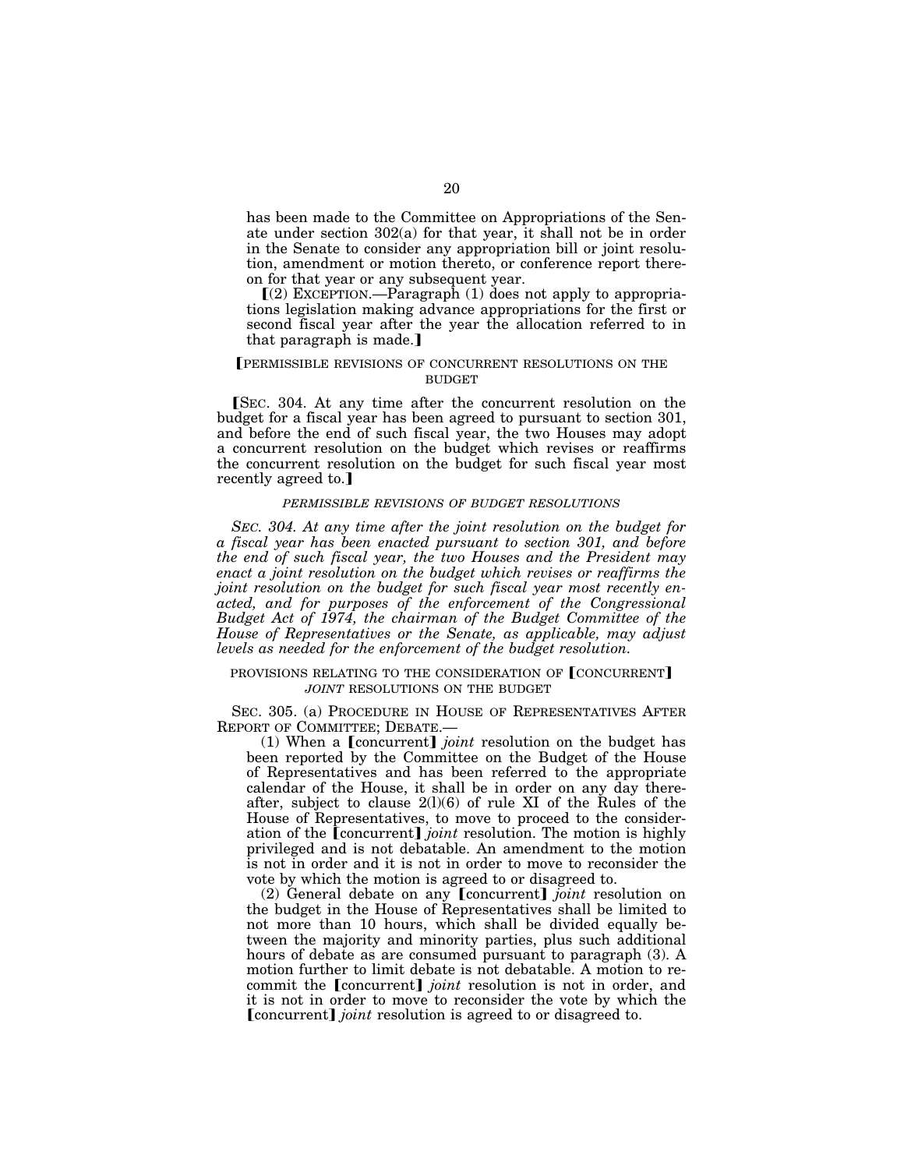has been made to the Committee on Appropriations of the Senate under section 302(a) for that year, it shall not be in order in the Senate to consider any appropriation bill or joint resolution, amendment or motion thereto, or conference report thereon for that year or any subsequent year.

 $(2)$  EXCEPTION.—Paragraph  $(1)$  does not apply to appropriations legislation making advance appropriations for the first or second fiscal year after the year the allocation referred to in that paragraph is made. $\mathbf{J}$ 

## **[PERMISSIBLE REVISIONS OF CONCURRENT RESOLUTIONS ON THE BUDGET**

øSEC. 304. At any time after the concurrent resolution on the budget for a fiscal year has been agreed to pursuant to section 301, and before the end of such fiscal year, the two Houses may adopt a concurrent resolution on the budget which revises or reaffirms the concurrent resolution on the budget for such fiscal year most recently agreed to.]

## *PERMISSIBLE REVISIONS OF BUDGET RESOLUTIONS*

*SEC. 304. At any time after the joint resolution on the budget for a fiscal year has been enacted pursuant to section 301, and before the end of such fiscal year, the two Houses and the President may enact a joint resolution on the budget which revises or reaffirms the joint resolution on the budget for such fiscal year most recently enacted, and for purposes of the enforcement of the Congressional Budget Act of 1974, the chairman of the Budget Committee of the House of Representatives or the Senate, as applicable, may adjust levels as needed for the enforcement of the budget resolution.* 

### PROVISIONS RELATING TO THE CONSIDERATION OF CONCURRENT] *JOINT* RESOLUTIONS ON THE BUDGET

SEC. 305. (a) PROCEDURE IN HOUSE OF REPRESENTATIVES AFTER REPORT OF COMMITTEE; DEBATE.—

 $(1)$  When a [concurrent] *joint* resolution on the budget has been reported by the Committee on the Budget of the House of Representatives and has been referred to the appropriate calendar of the House, it shall be in order on any day thereafter, subject to clause  $2(1)(6)$  of rule XI of the Rules of the House of Representatives, to move to proceed to the consideration of the [concurrent] *joint* resolution. The motion is highly privileged and is not debatable. An amendment to the motion is not in order and it is not in order to move to reconsider the vote by which the motion is agreed to or disagreed to.

(2) General debate on any  $[concurrent]$  *joint* resolution on the budget in the House of Representatives shall be limited to not more than 10 hours, which shall be divided equally between the majority and minority parties, plus such additional hours of debate as are consumed pursuant to paragraph (3). A motion further to limit debate is not debatable. A motion to recommit the **[**concurrent] *joint* resolution is not in order, and it is not in order to move to reconsider the vote by which the **[concurrent]** *joint* resolution is agreed to or disagreed to.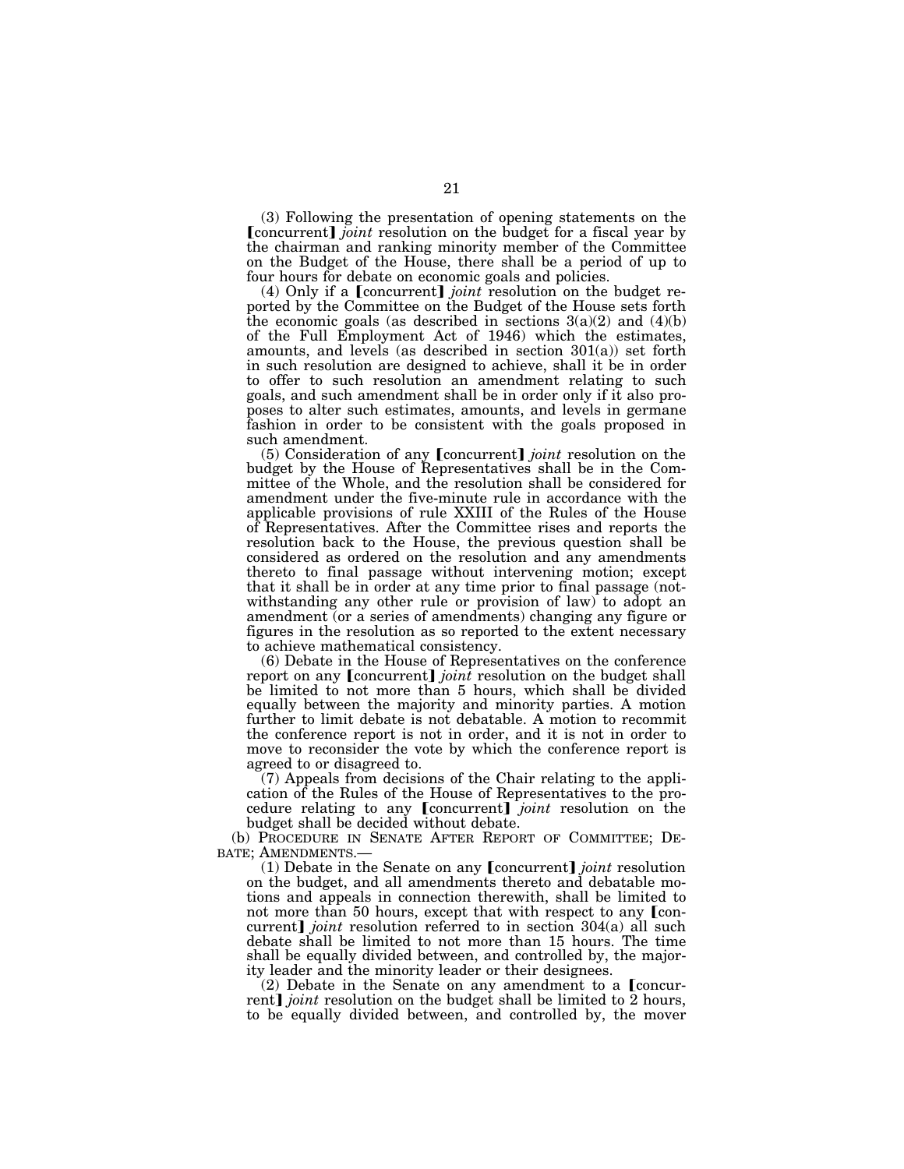(3) Following the presentation of opening statements on the **[concurrent]** *joint* resolution on the budget for a fiscal year by the chairman and ranking minority member of the Committee on the Budget of the House, there shall be a period of up to four hours for debate on economic goals and policies.

(4) Only if a *[concurrent] joint* resolution on the budget reported by the Committee on the Budget of the House sets forth the economic goals (as described in sections  $3(a)(2)$  and  $(4)(b)$ of the Full Employment Act of 1946) which the estimates, amounts, and levels (as described in section 301(a)) set forth in such resolution are designed to achieve, shall it be in order to offer to such resolution an amendment relating to such goals, and such amendment shall be in order only if it also proposes to alter such estimates, amounts, and levels in germane fashion in order to be consistent with the goals proposed in such amendment.

(5) Consideration of any [concurrent] *joint* resolution on the budget by the House of Representatives shall be in the Committee of the Whole, and the resolution shall be considered for amendment under the five-minute rule in accordance with the applicable provisions of rule XXIII of the Rules of the House of Representatives. After the Committee rises and reports the resolution back to the House, the previous question shall be considered as ordered on the resolution and any amendments thereto to final passage without intervening motion; except that it shall be in order at any time prior to final passage (notwithstanding any other rule or provision of law) to adopt an amendment (or a series of amendments) changing any figure or figures in the resolution as so reported to the extent necessary to achieve mathematical consistency.

(6) Debate in the House of Representatives on the conference report on any  $[concurrent]$  *joint* resolution on the budget shall be limited to not more than 5 hours, which shall be divided equally between the majority and minority parties. A motion further to limit debate is not debatable. A motion to recommit the conference report is not in order, and it is not in order to move to reconsider the vote by which the conference report is agreed to or disagreed to.

(7) Appeals from decisions of the Chair relating to the application of the Rules of the House of Representatives to the procedure relating to any *[concurrent] joint* resolution on the budget shall be decided without debate.

(b) PROCEDURE IN SENATE AFTER REPORT OF COMMITTEE; DE-BATE; AMENDMENTS.—

(1) Debate in the Senate on any [concurrent] *joint* resolution on the budget, and all amendments thereto and debatable motions and appeals in connection therewith, shall be limited to not more than 50 hours, except that with respect to any  $\lceil$  concurrent] *joint* resolution referred to in section 304(a) all such debate shall be limited to not more than 15 hours. The time shall be equally divided between, and controlled by, the majority leader and the minority leader or their designees.

 $(2)$  Debate in the Senate on any amendment to a Concurrent) *joint* resolution on the budget shall be limited to 2 hours, to be equally divided between, and controlled by, the mover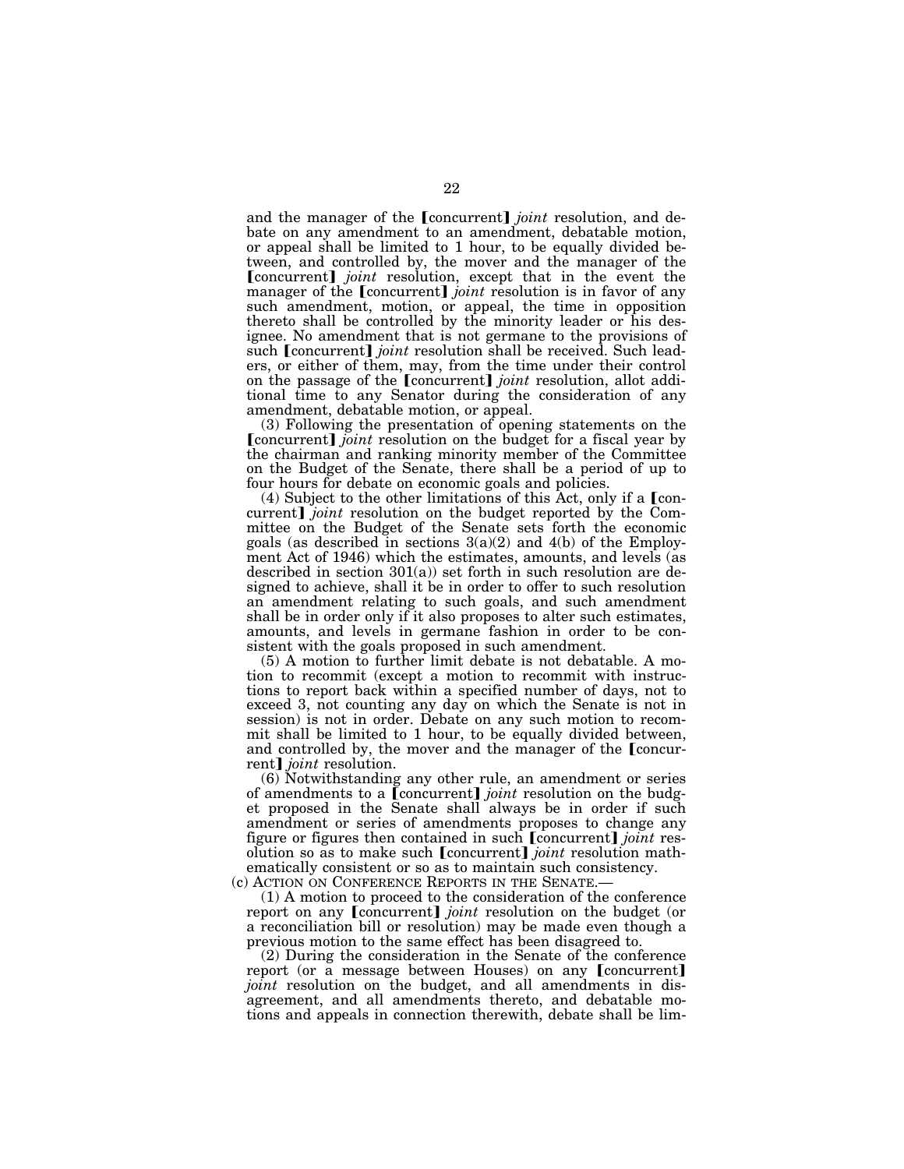and the manager of the **[**concurrent] *joint* resolution, and debate on any amendment to an amendment, debatable motion, or appeal shall be limited to 1 hour, to be equally divided between, and controlled by, the mover and the manager of the [concurrent] *joint* resolution, except that in the event the manager of the [concurrent] *joint* resolution is in favor of any such amendment, motion, or appeal, the time in opposition thereto shall be controlled by the minority leader or his designee. No amendment that is not germane to the provisions of such [concurrent] *joint* resolution shall be received. Such leaders, or either of them, may, from the time under their control on the passage of the [concurrent] *joint* resolution, allot additional time to any Senator during the consideration of any amendment, debatable motion, or appeal.

(3) Following the presentation of opening statements on the **[concurrent]** *joint* resolution on the budget for a fiscal year by the chairman and ranking minority member of the Committee on the Budget of the Senate, there shall be a period of up to four hours for debate on economic goals and policies.

(4) Subject to the other limitations of this Act, only if a  $\lceil \text{con-} \rceil$ current] *joint* resolution on the budget reported by the Committee on the Budget of the Senate sets forth the economic goals (as described in sections  $3(a)(2)$  and  $4(b)$  of the Employment Act of 1946) which the estimates, amounts, and levels (as described in section  $301(a)$  set forth in such resolution are designed to achieve, shall it be in order to offer to such resolution an amendment relating to such goals, and such amendment shall be in order only if it also proposes to alter such estimates, amounts, and levels in germane fashion in order to be consistent with the goals proposed in such amendment.

(5) A motion to further limit debate is not debatable. A motion to recommit (except a motion to recommit with instructions to report back within a specified number of days, not to exceed 3, not counting any day on which the Senate is not in session) is not in order. Debate on any such motion to recommit shall be limited to 1 hour, to be equally divided between, and controlled by, the mover and the manager of the [concurrent] *joint* resolution.

(6) Notwithstanding any other rule, an amendment or series of amendments to a concurrent] joint resolution on the budget proposed in the Senate shall always be in order if such amendment or series of amendments proposes to change any figure or figures then contained in such **[**concurrent] *joint* resolution so as to make such [concurrent] *joint* resolution mathematically consistent or so as to maintain such consistency.

(c) ACTION ON CONFERENCE REPORTS IN THE SENATE.—

(1) A motion to proceed to the consideration of the conference report on any *[concurrent] joint* resolution on the budget (or a reconciliation bill or resolution) may be made even though a previous motion to the same effect has been disagreed to.

(2) During the consideration in the Senate of the conference report (or a message between Houses) on any  $\lceil$  concurrent $\rceil$ *joint* resolution on the budget, and all amendments in disagreement, and all amendments thereto, and debatable motions and appeals in connection therewith, debate shall be lim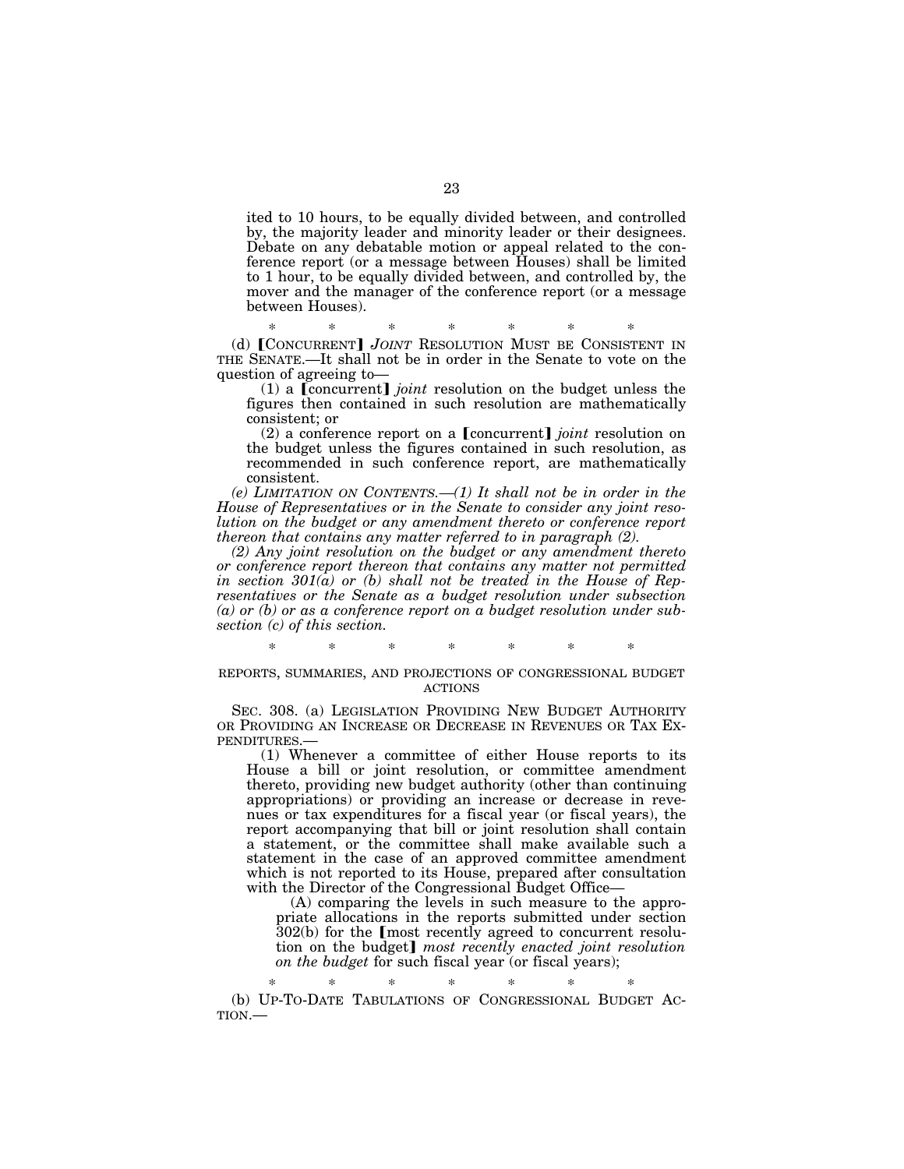ited to 10 hours, to be equally divided between, and controlled by, the majority leader and minority leader or their designees. Debate on any debatable motion or appeal related to the conference report (or a message between Houses) shall be limited to 1 hour, to be equally divided between, and controlled by, the mover and the manager of the conference report (or a message between Houses).

(d) CONCURRENT] *JOINT* RESOLUTION MUST BE CONSISTENT IN THE SENATE.—It shall not be in order in the Senate to vote on the question of agreeing to—

(1) a **[**concurrent**]** *joint* resolution on the budget unless the figures then contained in such resolution are mathematically consistent; or

(2) a conference report on a [concurrent] *joint* resolution on the budget unless the figures contained in such resolution, as recommended in such conference report, are mathematically consistent.

*(e) LIMITATION ON CONTENTS.—(1) It shall not be in order in the House of Representatives or in the Senate to consider any joint resolution on the budget or any amendment thereto or conference report thereon that contains any matter referred to in paragraph (2).* 

*(2) Any joint resolution on the budget or any amendment thereto or conference report thereon that contains any matter not permitted in section 301(a) or (b) shall not be treated in the House of Representatives or the Senate as a budget resolution under subsection (a) or (b) or as a conference report on a budget resolution under subsection (c) of this section.* 

\* \* \* \* \* \* \*

### REPORTS, SUMMARIES, AND PROJECTIONS OF CONGRESSIONAL BUDGET ACTIONS

SEC. 308. (a) LEGISLATION PROVIDING NEW BUDGET AUTHORITY OR PROVIDING AN INCREASE OR DECREASE IN REVENUES OR TAX EX-PENDITURES.—

(1) Whenever a committee of either House reports to its House a bill or joint resolution, or committee amendment thereto, providing new budget authority (other than continuing appropriations) or providing an increase or decrease in revenues or tax expenditures for a fiscal year (or fiscal years), the report accompanying that bill or joint resolution shall contain a statement, or the committee shall make available such a statement in the case of an approved committee amendment which is not reported to its House, prepared after consultation with the Director of the Congressional Budget Office—

(A) comparing the levels in such measure to the appropriate allocations in the reports submitted under section  $302(b)$  for the [most recently agreed to concurrent resolution on the budget] *most recently enacted joint resolution on the budget* for such fiscal year (or fiscal years);

\* \* \* \* \* \* \* (b) UP-TO-DATE TABULATIONS OF CONGRESSIONAL BUDGET AC-TION.—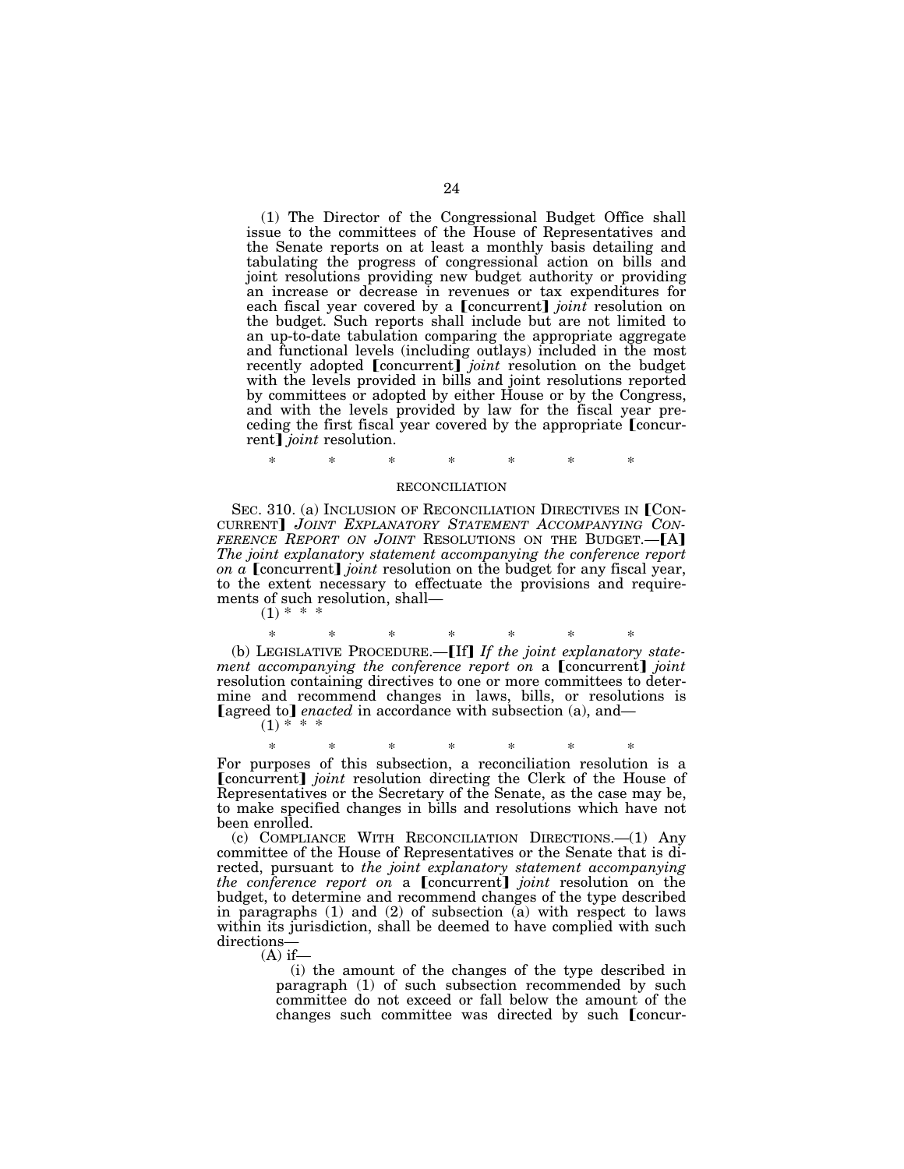(1) The Director of the Congressional Budget Office shall issue to the committees of the House of Representatives and the Senate reports on at least a monthly basis detailing and tabulating the progress of congressional action on bills and joint resolutions providing new budget authority or providing an increase or decrease in revenues or tax expenditures for each fiscal year covered by a **[**concurrent] *joint* resolution on the budget. Such reports shall include but are not limited to an up-to-date tabulation comparing the appropriate aggregate and functional levels (including outlays) included in the most recently adopted **[**concurrent] *joint* resolution on the budget with the levels provided in bills and joint resolutions reported by committees or adopted by either House or by the Congress, and with the levels provided by law for the fiscal year preceding the first fiscal year covered by the appropriate [concurrent] *joint* resolution.

## \* \* \* \* \* \* \* RECONCILIATION

SEC. 310. (a) INCLUSION OF RECONCILIATION DIRECTIVES IN  $\Gamma$ CON-CURRENT¿ *JOINT EXPLANATORY STATEMENT ACCOMPANYING CON-FERENCE REPORT ON JOINT* RESOLUTIONS ON THE BUDGET.—[A] *The joint explanatory statement accompanying the conference report on a* [concurrent] *joint* resolution on the budget for any fiscal year, to the extent necessary to effectuate the provisions and requirements of such resolution, shall—

 $(1) * * * *$ 

\* \* \* \* \* \* \* (b) LEGISLATIVE PROCEDURE.—[If] If the joint explanatory state*ment accompanying the conference report on a* [concurrent] *joint* resolution containing directives to one or more committees to determine and recommend changes in laws, bills, or resolutions is [agreed to] *enacted* in accordance with subsection (a), and—

 $(1)$  \*

\* \* \* \* \* \* \*

For purposes of this subsection, a reconciliation resolution is a [concurrent] *joint* resolution directing the Clerk of the House of Representatives or the Secretary of the Senate, as the case may be, to make specified changes in bills and resolutions which have not been enrolled.

(c) COMPLIANCE WITH RECONCILIATION DIRECTIONS.—(1) Any committee of the House of Representatives or the Senate that is directed, pursuant to *the joint explanatory statement accompanying the conference report on a [concurrent] joint resolution on the* budget, to determine and recommend changes of the type described in paragraphs  $(1)$  and  $(2)$  of subsection  $(a)$  with respect to laws within its jurisdiction, shall be deemed to have complied with such directions—

 $(A)$  if-

(i) the amount of the changes of the type described in paragraph (1) of such subsection recommended by such committee do not exceed or fall below the amount of the changes such committee was directed by such [concur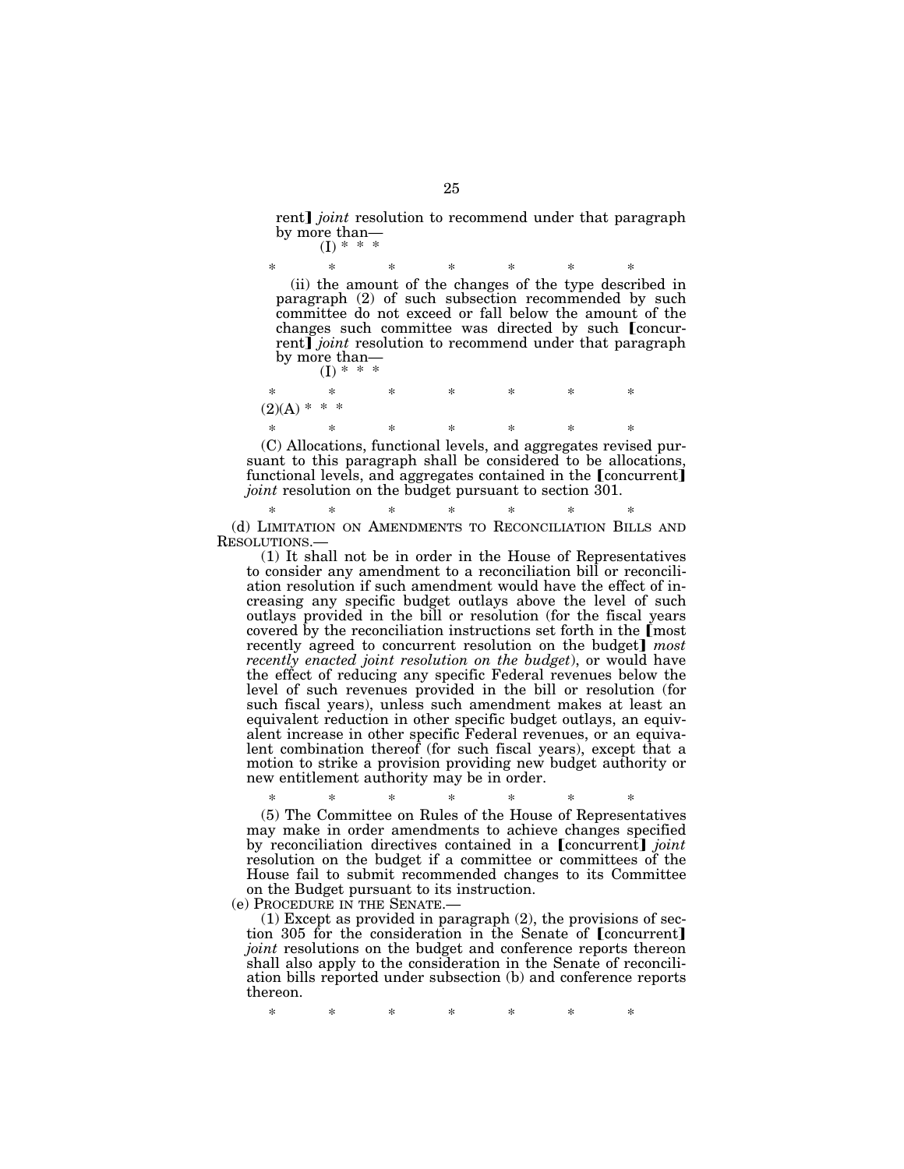rent] *joint* resolution to recommend under that paragraph by more than—  $(I) * * * *$ 

\* \* \* \* \* \* \* (ii) the amount of the changes of the type described in paragraph (2) of such subsection recommended by such committee do not exceed or fall below the amount of the changes such committee was directed by such [concurrent] *joint* resolution to recommend under that paragraph by more than—

(I) \* \* \*

\* \* \* \* \* \* \*  $(2)(A) * * * *$ \* \* \* \* \* \* \*

(C) Allocations, functional levels, and aggregates revised pursuant to this paragraph shall be considered to be allocations, functional levels, and aggregates contained in the  $[concurrent]$ *joint* resolution on the budget pursuant to section 301.

\* \* \* \* \* \* \* (d) LIMITATION ON AMENDMENTS TO RECONCILIATION BILLS AND RESOLUTIONS.—

(1) It shall not be in order in the House of Representatives to consider any amendment to a reconciliation bill or reconciliation resolution if such amendment would have the effect of increasing any specific budget outlays above the level of such outlays provided in the bill or resolution (for the fiscal years covered by the reconciliation instructions set forth in the [most] recently agreed to concurrent resolution on the budget] *most recently enacted joint resolution on the budget*), or would have the effect of reducing any specific Federal revenues below the level of such revenues provided in the bill or resolution (for such fiscal years), unless such amendment makes at least an equivalent reduction in other specific budget outlays, an equivalent increase in other specific Federal revenues, or an equivalent combination thereof (for such fiscal years), except that a motion to strike a provision providing new budget authority or new entitlement authority may be in order.

\* \* \* \* \* \* \* (5) The Committee on Rules of the House of Representatives may make in order amendments to achieve changes specified by reconciliation directives contained in a  $[concurrent]$  *joint* resolution on the budget if a committee or committees of the House fail to submit recommended changes to its Committee on the Budget pursuant to its instruction.

(e) PROCEDURE IN THE SENATE.—

(1) Except as provided in paragraph (2), the provisions of section 305 for the consideration in the Senate of [concurrent] *joint* resolutions on the budget and conference reports thereon shall also apply to the consideration in the Senate of reconciliation bills reported under subsection (b) and conference reports thereon.

\* \* \* \* \* \* \*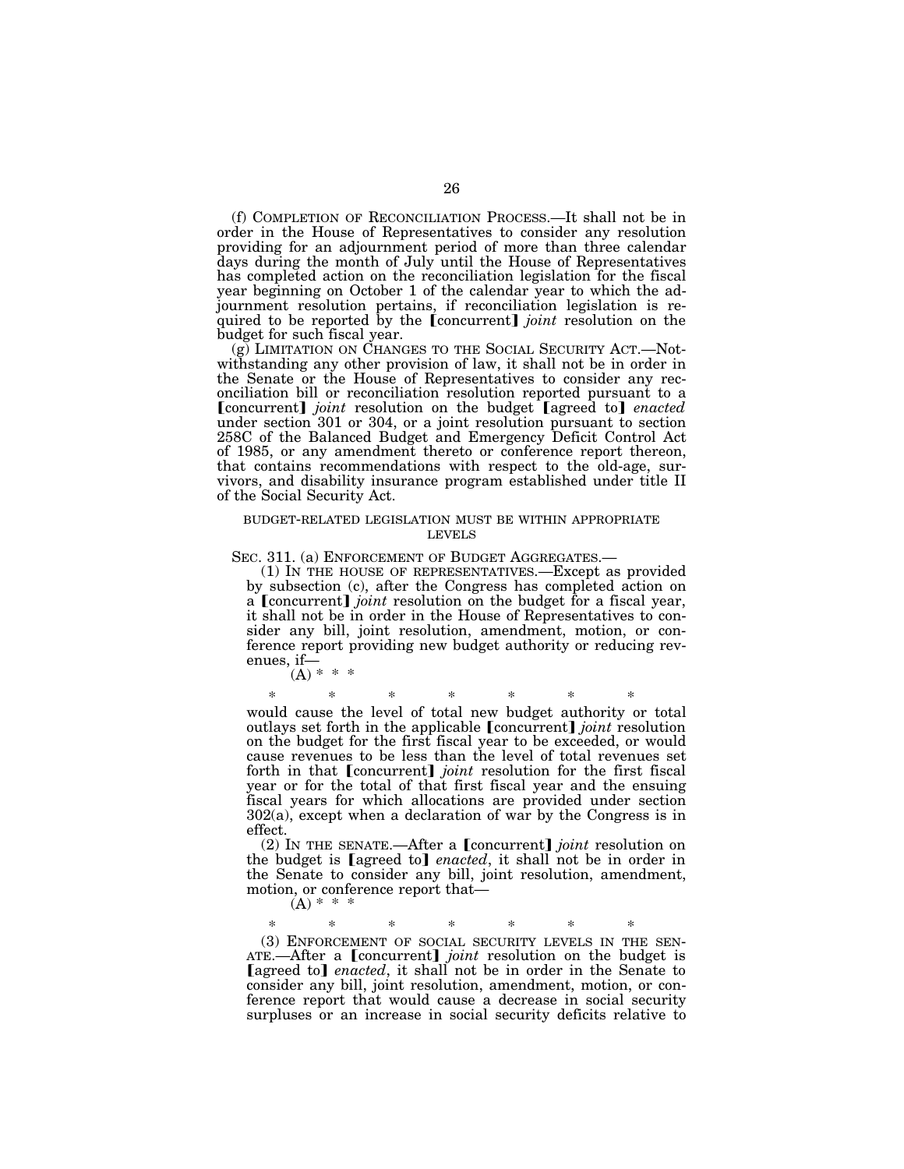(f) COMPLETION OF RECONCILIATION PROCESS.—It shall not be in order in the House of Representatives to consider any resolution providing for an adjournment period of more than three calendar days during the month of July until the House of Representatives has completed action on the reconciliation legislation for the fiscal year beginning on October 1 of the calendar year to which the adjournment resolution pertains, if reconciliation legislation is re-<br>quired to be reported by the *[concurrent] joint* resolution on the budget for such fiscal year.

(g) LIMITATION ON CHANGES TO THE SOCIAL SECURITY ACT.—Notwithstanding any other provision of law, it shall not be in order in the Senate or the House of Representatives to consider any reconciliation bill or reconciliation resolution reported pursuant to a **[concurrent]** *joint* resolution on the budget **[agreed to]** *enacted* under section 301 or 304, or a joint resolution pursuant to section 258C of the Balanced Budget and Emergency Deficit Control Act of 1985, or any amendment thereto or conference report thereon, that contains recommendations with respect to the old-age, survivors, and disability insurance program established under title II of the Social Security Act.

## BUDGET-RELATED LEGISLATION MUST BE WITHIN APPROPRIATE LEVELS

SEC. 311. (a) ENFORCEMENT OF BUDGET AGGREGATES.— (1) IN THE HOUSE OF REPRESENTATIVES.—Except as provided by subsection (c), after the Congress has completed action on a [concurrent] *joint* resolution on the budget for a fiscal year, it shall not be in order in the House of Representatives to consider any bill, joint resolution, amendment, motion, or conference report providing new budget authority or reducing revenues, if—

 $(A) * * * *$ 

\* \* \* \* \* \* \*

would cause the level of total new budget authority or total outlays set forth in the applicable [concurrent] *joint* resolution on the budget for the first fiscal year to be exceeded, or would cause revenues to be less than the level of total revenues set forth in that [concurrent] *joint* resolution for the first fiscal year or for the total of that first fiscal year and the ensuing fiscal years for which allocations are provided under section 302(a), except when a declaration of war by the Congress is in effect.

(2) IN THE SENATE.—After a [concurrent] *joint* resolution on the budget is [agreed to] *enacted*, it shall not be in order in the Senate to consider any bill, joint resolution, amendment, motion, or conference report that—

 $(A) * * * *$ 

\* \* \* \* \* \* \*

(3) ENFORCEMENT OF SOCIAL SECURITY LEVELS IN THE SEN-ATE.—After a [concurrent] *joint* resolution on the budget is **Later of the contract of the Senate of the Senate of Theorem in the Senate to** consider any bill, joint resolution, amendment, motion, or conference report that would cause a decrease in social security surpluses or an increase in social security deficits relative to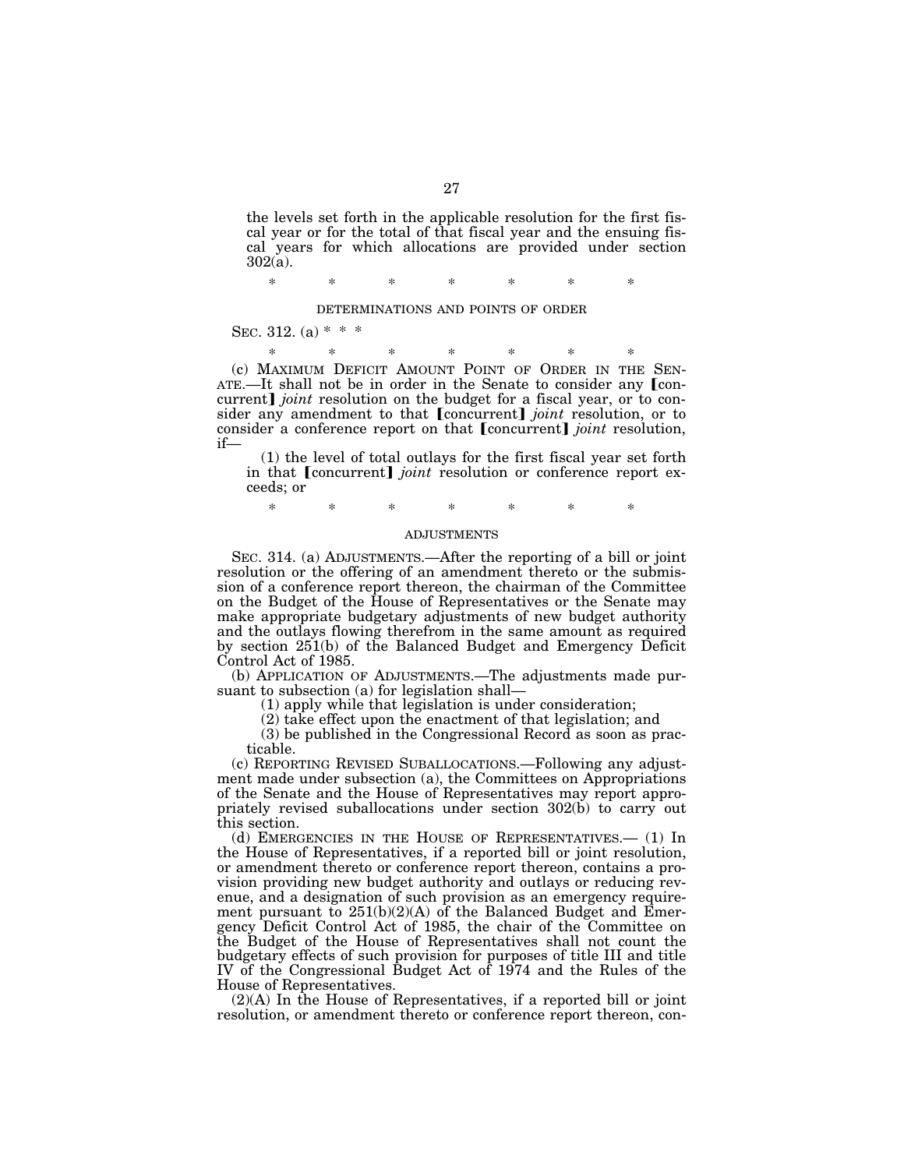the levels set forth in the applicable resolution for the first fiscal year or for the total of that fiscal year and the ensuing fiscal years for which allocations are provided under section  $302(a)$ .

\* \* \* \* \* \* \*

### DETERMINATIONS AND POINTS OF ORDER

### SEC. 312. (a)  $* * *$

if—

\* \* \* \* \* \* \* (c) MAXIMUM DEFICIT AMOUNT POINT OF ORDER IN THE SEN-<br>ATE.—It shall not be in order in the Senate to consider any [concurrent] *joint* resolution on the budget for a fiscal year, or to consider any amendment to that *[concurrent] joint* resolution, or to consider a conference report on that [concurrent] *joint* resolution,

(1) the level of total outlays for the first fiscal year set forth in that [concurrent] *joint* resolution or conference report exceeds; or

\* \* \* \* \* \* \*

#### ADJUSTMENTS

SEC. 314. (a) ADJUSTMENTS.—After the reporting of a bill or joint resolution or the offering of an amendment thereto or the submission of a conference report thereon, the chairman of the Committee on the Budget of the House of Representatives or the Senate may make appropriate budgetary adjustments of new budget authority and the outlays flowing therefrom in the same amount as required by section 251(b) of the Balanced Budget and Emergency Deficit Control Act of 1985.

(b) APPLICATION OF ADJUSTMENTS.—The adjustments made pursuant to subsection (a) for legislation shall—

(1) apply while that legislation is under consideration;

(2) take effect upon the enactment of that legislation; and

(3) be published in the Congressional Record as soon as practicable.

(c) REPORTING REVISED SUBALLOCATIONS.—Following any adjustment made under subsection (a), the Committees on Appropriations of the Senate and the House of Representatives may report appropriately revised suballocations under section 302(b) to carry out this section.

(d) EMERGENCIES IN THE HOUSE OF REPRESENTATIVES.— (1) In the House of Representatives, if a reported bill or joint resolution, or amendment thereto or conference report thereon, contains a provision providing new budget authority and outlays or reducing revenue, and a designation of such provision as an emergency requirement pursuant to 251(b)(2)(A) of the Balanced Budget and Emergency Deficit Control Act of 1985, the chair of the Committee on the Budget of the House of Representatives shall not count the budgetary effects of such provision for purposes of title III and title IV of the Congressional Budget Act of 1974 and the Rules of the House of Representatives.

(2)(A) In the House of Representatives, if a reported bill or joint resolution, or amendment thereto or conference report thereon, con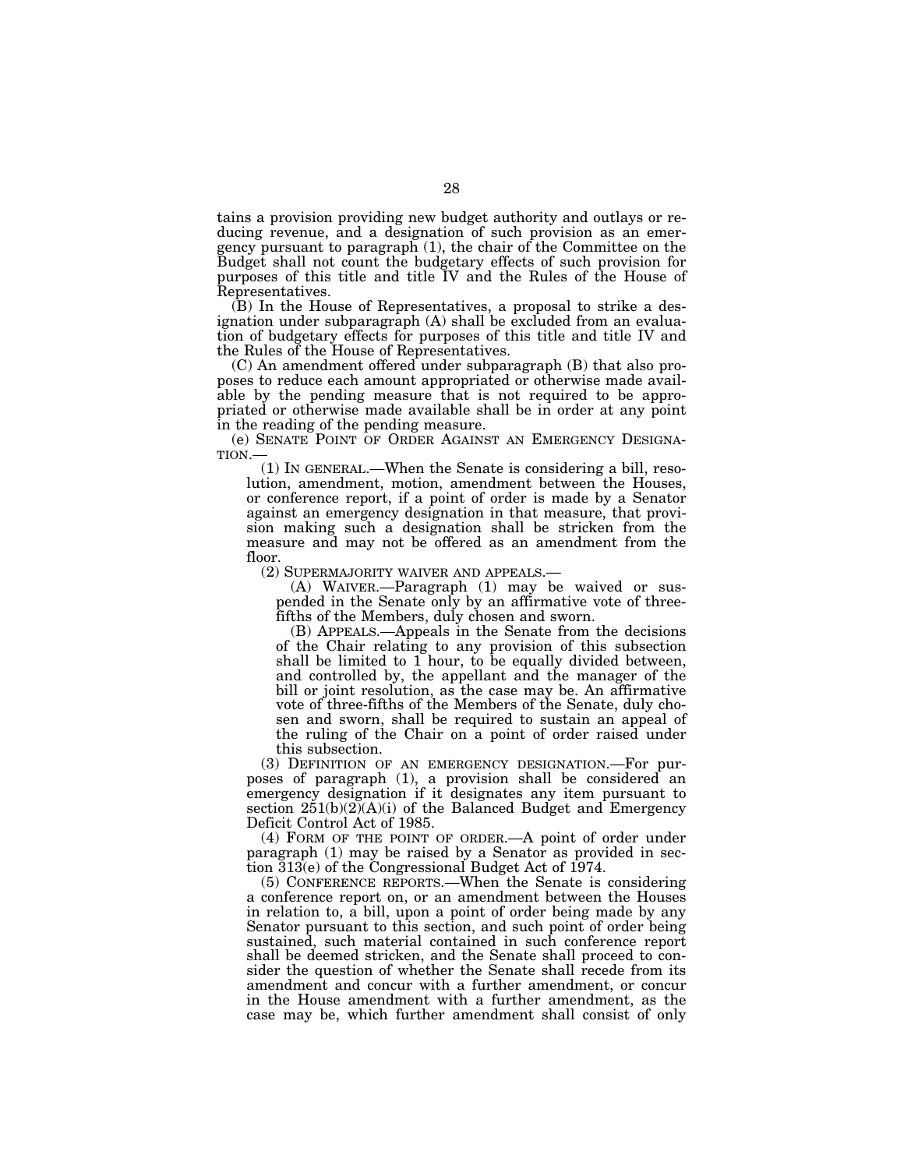tains a provision providing new budget authority and outlays or reducing revenue, and a designation of such provision as an emergency pursuant to paragraph (1), the chair of the Committee on the Budget shall not count the budgetary effects of such provision for purposes of this title and title IV and the Rules of the House of Representatives.

(B) In the House of Representatives, a proposal to strike a designation under subparagraph (A) shall be excluded from an evaluation of budgetary effects for purposes of this title and title IV and the Rules of the House of Representatives.

(C) An amendment offered under subparagraph (B) that also proposes to reduce each amount appropriated or otherwise made available by the pending measure that is not required to be appropriated or otherwise made available shall be in order at any point in the reading of the pending measure.

(e) SENATE POINT OF ORDER AGAINST AN EMERGENCY DESIGNA- TION.—

(1) IN GENERAL.—When the Senate is considering a bill, resolution, amendment, motion, amendment between the Houses, or conference report, if a point of order is made by a Senator against an emergency designation in that measure, that provision making such a designation shall be stricken from the measure and may not be offered as an amendment from the floor.<br>(2) SUPERMAJORITY WAIVER AND APPEALS.—

 $(A)$  WAIVER.—Paragraph  $(1)$  may be waived or suspended in the Senate only by an affirmative vote of threefifths of the Members, duly chosen and sworn.

(B) APPEALS.—Appeals in the Senate from the decisions of the Chair relating to any provision of this subsection shall be limited to 1 hour, to be equally divided between, and controlled by, the appellant and the manager of the bill or joint resolution, as the case may be. An affirmative vote of three-fifths of the Members of the Senate, duly chosen and sworn, shall be required to sustain an appeal of the ruling of the Chair on a point of order raised under this subsection.

(3) DEFINITION OF AN EMERGENCY DESIGNATION.—For purposes of paragraph (1), a provision shall be considered an emergency designation if it designates any item pursuant to section  $251(b)(2)(A)(i)$  of the Balanced Budget and Emergency Deficit Control Act of 1985.

(4) FORM OF THE POINT OF ORDER.—A point of order under paragraph (1) may be raised by a Senator as provided in section 313(e) of the Congressional Budget Act of 1974.

(5) CONFERENCE REPORTS.—When the Senate is considering a conference report on, or an amendment between the Houses in relation to, a bill, upon a point of order being made by any Senator pursuant to this section, and such point of order being sustained, such material contained in such conference report shall be deemed stricken, and the Senate shall proceed to consider the question of whether the Senate shall recede from its amendment and concur with a further amendment, or concur in the House amendment with a further amendment, as the case may be, which further amendment shall consist of only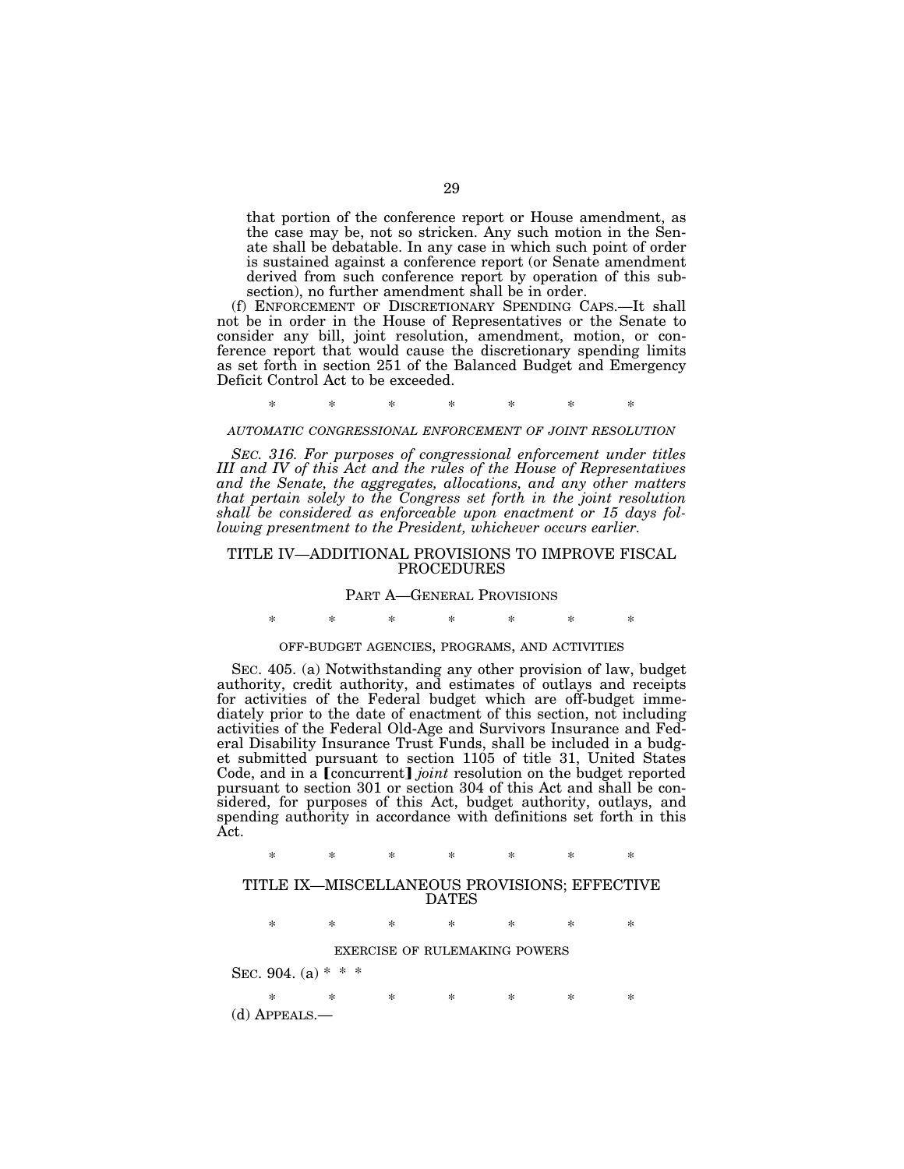that portion of the conference report or House amendment, as the case may be, not so stricken. Any such motion in the Senate shall be debatable. In any case in which such point of order is sustained against a conference report (or Senate amendment derived from such conference report by operation of this subsection), no further amendment shall be in order.

(f) ENFORCEMENT OF DISCRETIONARY SPENDING CAPS.—It shall not be in order in the House of Representatives or the Senate to consider any bill, joint resolution, amendment, motion, or conference report that would cause the discretionary spending limits as set forth in section 251 of the Balanced Budget and Emergency Deficit Control Act to be exceeded.

\* \* \* \* \* \* \*

### *AUTOMATIC CONGRESSIONAL ENFORCEMENT OF JOINT RESOLUTION*

*SEC. 316. For purposes of congressional enforcement under titles III and IV of this Act and the rules of the House of Representatives and the Senate, the aggregates, allocations, and any other matters that pertain solely to the Congress set forth in the joint resolution shall be considered as enforceable upon enactment or 15 days following presentment to the President, whichever occurs earlier.* 

## TITLE IV—ADDITIONAL PROVISIONS TO IMPROVE FISCAL PROCEDURES

## PART A—GENERAL PROVISIONS

\* \* \* \* \* \* \*

### OFF-BUDGET AGENCIES, PROGRAMS, AND ACTIVITIES

SEC. 405. (a) Notwithstanding any other provision of law, budget authority, credit authority, and estimates of outlays and receipts for activities of the Federal budget which are off-budget immediately prior to the date of enactment of this section, not including activities of the Federal Old-Age and Survivors Insurance and Federal Disability Insurance Trust Funds, shall be included in a budget submitted pursuant to section 1105 of title 31, United States Code, and in a [concurrent] *joint* resolution on the budget reported pursuant to section 301 or section 304 of this Act and shall be considered, for purposes of this Act, budget authority, outlays, and spending authority in accordance with definitions set forth in this Act.

\* \* \* \* \* \* \*

## TITLE IX—MISCELLANEOUS PROVISIONS; EFFECTIVE DATES

\* \* \* \* \* \* \*

#### EXERCISE OF RULEMAKING POWERS

SEC. 904. (a)  $*$  \*

\* \* \* \* \* \* \* (d) APPEALS.—